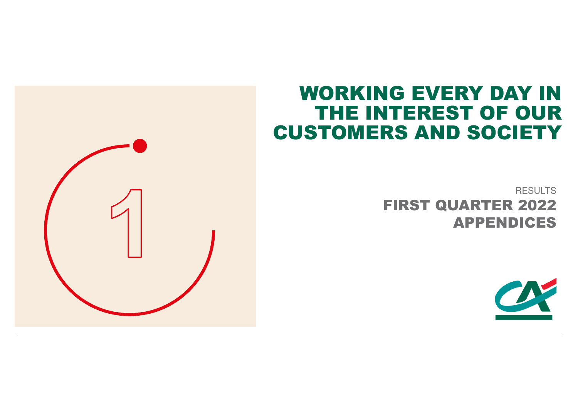# WORKING EVERY DAY IN THE INTEREST OF OUR CUSTOMERS AND SOCIETY

RESULTS FIRST QUARTER 2022APPENDICES

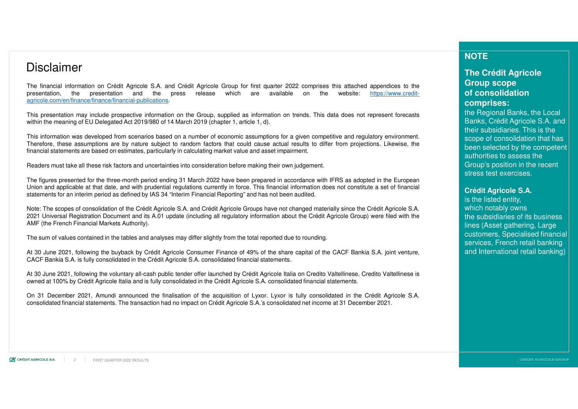### Disclaimer

The financial information on Crédit Agricole S.A. and Crédit Agricole Group for first quarter 2022 comprises this attached appendices to theh are available on the website: <u>https://www.credit-</u> presentation, the presentation and the press release whichagricole.com/en/finance/finance/financial-publications.

This presentation may include prospective information on the Group, supplied as information on trends. This data does not represent forecastswithin the meaning of EU Delegated Act 2019/980 of 14 March 2019 (chapter 1, article 1, d).

This information was developed from scenarios based on <sup>a</sup> number of economic assumptions for <sup>a</sup> given competitive and regulatory environment. Therefore, these assumptions are by nature subject to random factors that could cause actual results to differ from projections. Likewise, thefinancial statements are based on estimates, particularly in calculating market value and asset impairment.

Readers must take all these risk factors and uncertainties into consideration before making their own judgement.

The figures presented for the three-month period ending 31 March 2022 have been prepared in accordance with IFRS as adopted in the European Union and applicable at that date, and with prudential regulations currently in force. This financial information does not constitute <sup>a</sup> set of financial statements for an interim period as defined by IAS 34 "Interim Financial Reporting" and has not been audited.

Note: The scopes of consolidation of the Crédit Agricole S.A. and Crédit Agricole Groups have not changed materially since the Crédit Agricole S.A. 2021 Universal Registration Document and its A.01 update (including all regulatory information about the Crédit Agricole Group) were filed with theAMF (the French Financial Markets Authority).

The sum of values contained in the tables and analyses may differ slightly from the total reported due to rounding.

At 30 June 2021, following the buyback by Crédit Agricole Consumer Finance of 49% of the share capital of the CACF Bankia S.A. joint venture, CACF Bankia S.A. is fully consolidated in the Crédit Agricole S.A. consolidated financial statements.

At 30 June 2021, following the voluntary all-cash public tender offer launched by Crédit Agricole Italia on Credito Valtellinese, Credito Valtellinese isowned at 100% by Crédit Agricole Italia and is fully consolidated in the Crédit Agricole S.A. consolidated financial statements.

On 31 December 2021, Amundi announced the finalisation of the acquisition of Lyxor. Lyxor is fully consolidated in the Crédit Agricole S.A. consolidated financial statements. The transaction had no impact on Crédit Agricole S.A.'s consolidated net income at <sup>31</sup> December 2021.

### **NOTE**

### **The Crédit Agricole Group scope of consolidation comprises:**

 the Regional Banks, the Local Banks, Crédit Agricole S.A. and their subsidiaries. This is the scope of consolidation that has been selected by the competent authorities to assess the Group's position in the recent stress test exercises.

#### **Crédit Agricole S.A.**

is the listed entity, which notably owns the subsidiaries of its business lines (Asset gathering, Large customers, Specialised financial services, French retail banking and International retail banking)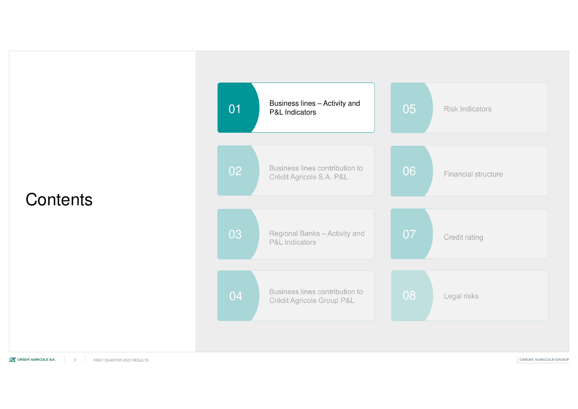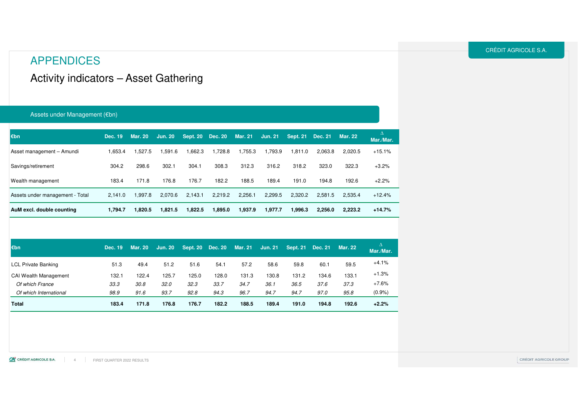### APPENDICES

Activity indicators – Asset Gathering

#### Assets under Management (€bn)

| €bn                             | Dec. 19 | <b>Mar. 20</b> | <b>Jun. 20</b> | Sept. 20 Dec. 20 |         | <b>Mar. 21</b> | <b>Jun. 21</b> | <b>Sept. 21</b> | <b>Dec. 21</b> | <b>Mar. 22</b> | Δ<br>Mar./Mar. |
|---------------------------------|---------|----------------|----------------|------------------|---------|----------------|----------------|-----------------|----------------|----------------|----------------|
| Asset management - Amundi       | 1.653.4 | 1.527.5        | .591.6         | 1,662.3          | 1.728.8 | 1.755.3        | ,793.9         | 1.811.0         | 2,063.8        | 2.020.5        | $+15.1%$       |
| Savings/retirement              | 304.2   | 298.6          | 302.1          | 304.1            | 308.3   | 312.3          | 316.2          | 318.2           | 323.0          | 322.3          | $+3.2%$        |
| Wealth management               | 183.4   | 171.8          | 176.8          | 176.7            | 182.2   | 188.5          | 189.4          | 191.0           | 194.8          | 192.6          | $+2.2%$        |
| Assets under management - Total | 2.141.0 | 1.997.8        | 2.070.6        | 2.143.1          | 2,219.2 | 2.256.1        | 2,299.5        | 2.320.2         | 2.581.5        | 2.535.4        | $+12.4%$       |
| AuM excl. double counting       | 1.794.7 | 1.820.5        | 1,821.5        | 1,822.5          | 1,895.0 | 1.937.9        | 1,977.7        | 1,996.3         | 2,256.0        | 2.223.2        | $+14.7%$       |

| $\varepsilon$ <sub>bn</sub> | Dec. 19 | <b>Mar. 20</b> | <b>Jun. 20</b> | <b>Sept. 20</b> | <b>Dec. 20</b> | <b>Mar. 21</b> | <b>Jun. 21</b> | <b>Sept. 21</b> | <b>Dec. 21</b> | <b>Mar. 22</b> | Mar./Mar. |
|-----------------------------|---------|----------------|----------------|-----------------|----------------|----------------|----------------|-----------------|----------------|----------------|-----------|
| <b>LCL Private Banking</b>  | 51.3    | 49.4           | 51.2           | 51.6            | 54.1           | 57.2           | 58.6           | 59.8            | 60.1           | 59.5           | $+4.1%$   |
| CAI Wealth Management       | 132.1   | 122.4          | 125.7          | 125.0           | 128.0          | 131.3          | 130.8          | 131.2           | 134.6          | 133.1          | $+1.3%$   |
| Of which France             | 33.3    | 30.8           | 32.0           | 32.3            | 33.7           | 34.7           | 36.1           | 36.5            | 37.6           | 37.3           | $+7.6%$   |
| Of which International      | 98.9    | 91.6           | 93.7           | 92.8            | 94.3           | 96.7           | 94.7           | 94.7            | 97.0           | 95.8           | (0.9%     |
| <b>Total</b>                | 183.4   | 171.8          | 176.8          | 176.7           | 182.2          | 188.5          | 189.4          | 191.0           | 194.8          | 192.6          | $+2.2%$   |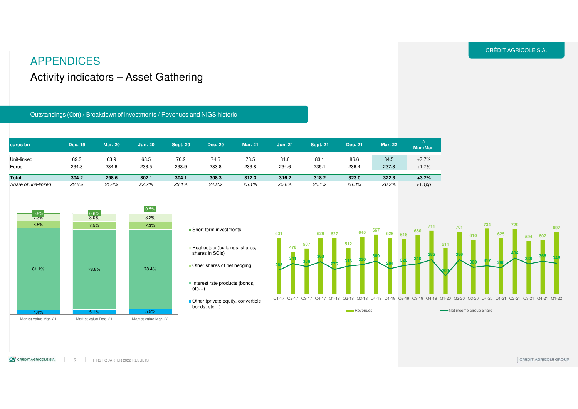### Activity indicators – Asset Gathering APPENDICES

Outstandings (€bn) / Breakdown of investments / Revenues and NIGS historic

| euros bn             | Dec. 19 | <b>Mar. 20</b> | <b>Jun. 20</b> | <b>Sept. 20</b> | Dec. 20 | <b>Mar. 21</b> | <b>Jun. 21</b> | <b>Sept. 21</b> | Dec. 21 | <b>Mar. 22</b> | Mar./Mar. |
|----------------------|---------|----------------|----------------|-----------------|---------|----------------|----------------|-----------------|---------|----------------|-----------|
| Unit-linked          | 69.3    | 63.9           | 68.5           | 70.2            | 74.5    | 78.5           | 81.6           | 83.1            | 86.6    | 84.5           | $+7.7%$   |
| Euros                | 234.8   | 234.6          | 233.5          | 233.9           | 233.8   | 233.8          | 234.6          | 235.1           | 236.4   | 237.8          | $+1.7%$   |
| <b>Total</b>         | 304.2   | 298.6          | 302.1          | 304.1           | 308.3   | 312.3          | 316.2          | 318.2           | 323.0   | 322.3          | $+3.2%$   |
| Share of unit-linked | 22.8%   | 21.4%          | 22.7%          | 23.1%           | 24.2%   | 25.1%          | 25.8%          | 26.1%           | 26.8%   | 26.2%          | $+1.1$ pp |



- **631268**■ Short term investments Real estate (buildings, shares, shares in SCIs)**Other shares of net hedging**
- Interest rate products (bonds, etc…)
- Other (private equity, convertible bonds, etc…)

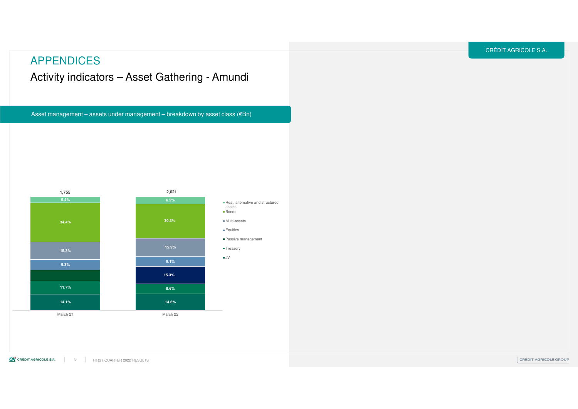### APPENDICES

### Activity indicators – Asset Gathering - Amundi

Asset management – assets under management – breakdown by asset class  $(\epsilon Bn)$ 

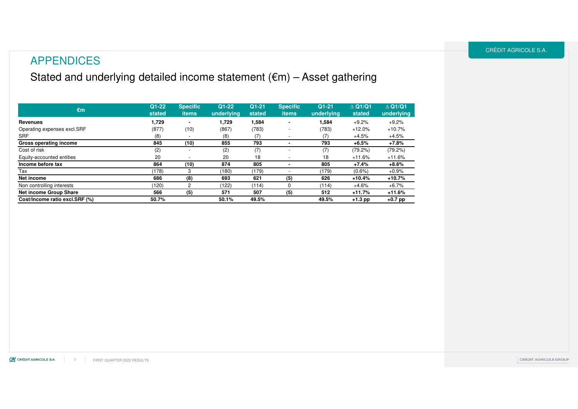### APPENDICES

## Stated and underlying detailed income statement  $(\epsilon m)$  – Asset gathering

| $\epsilon$ m                   | $Q1 - 22$<br>stated | <b>Specific</b><br>items | $Q1 - 22$<br>underlying | $Q1-21$<br>stated | <b>Specific</b><br><b>items</b> | $Q1-21$<br>underlying | $\triangle$ Q1/Q1<br>stated | $\triangle$ Q1/Q1<br>underlying |
|--------------------------------|---------------------|--------------------------|-------------------------|-------------------|---------------------------------|-----------------------|-----------------------------|---------------------------------|
| Revenues                       | 1,729               | ۰                        | 1,729                   | 1,584             | ۰                               | 1,584                 | $+9.2%$                     | $+9.2%$                         |
| Operating expenses excl.SRF    | (877)               | (10)                     | (867)                   | (783)             | -                               | (783)                 | $+12.0%$                    | $+10.7%$                        |
| <b>SRF</b>                     | (8)                 |                          | (8)                     |                   |                                 | (7)                   | $+4.5%$                     | $+4.5%$                         |
| Gross operating income         | 845                 | (10)                     | 855                     | 793               |                                 | 793                   | $+6.5%$                     | $+7.8%$                         |
| Cost of risk                   | (2)                 | $\overline{\phantom{a}}$ | (2)                     | (7)               | $\overline{\phantom{a}}$        | (7)                   | $(79.2\%)$                  | (79.2%)                         |
| Equity-accounted entities      | 20                  | $\overline{\phantom{a}}$ | 20                      | 18                |                                 | 18                    | $+11.6%$                    | $+11.6%$                        |
| Income before tax              | 864                 | (10)                     | 874                     | 805               |                                 | 805                   | $+7.4%$                     | $+8.6%$                         |
| Тах                            | (178)               | 3                        | (180)                   | (179)             |                                 | (179)                 | $(0.6\%)$                   | $+0.9%$                         |
| Net income                     | 686                 | (8)                      | 693                     | 621               | (5)                             | 626                   | $+10.4%$                    | +10.7%                          |
| Non controlling interests      | (120)               | $\overline{2}$           | (122)                   | (114)             | $\Omega$                        | (114)                 | $+4.6%$                     | $+6.7\%$                        |
| <b>Net income Group Share</b>  | 566                 | (5)                      | 571                     | 507               | (5)                             | 512                   | $+11.7%$                    | $+11.6%$                        |
| Cost/Income ratio excl.SRF (%) | 50.7%               |                          | 50.1%                   | 49.5%             |                                 | 49.5%                 | $+1.3$ pp                   | $+0.7$ pp                       |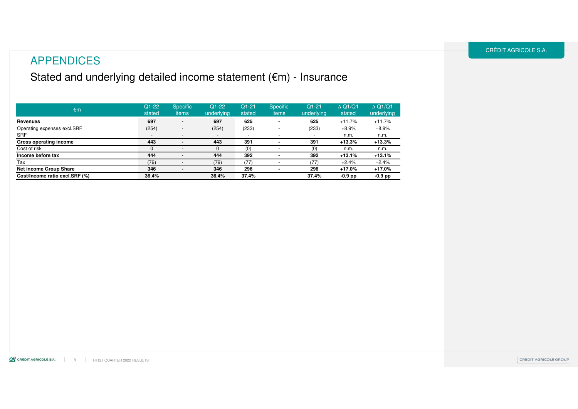### APPENDICES

### Stated and underlying detailed income statement (€m) - Insurance

| €m                             | $Q1-22$<br>stated        | <b>Specific</b><br>items | $Q1-22$<br>underlying    | $Q1-21$<br>stated        | <b>Specific</b><br>items | $Q1-21$<br>underlying    | $\triangle$ Q1/Q1<br>stated | $\triangle$ Q1/Q1<br>underlying |
|--------------------------------|--------------------------|--------------------------|--------------------------|--------------------------|--------------------------|--------------------------|-----------------------------|---------------------------------|
| <b>Revenues</b>                | 697                      | $\blacksquare$           | 697                      | 625                      |                          | 625                      | $+11.7%$                    | $+11.7%$                        |
| Operating expenses excl.SRF    | (254)                    | $\overline{\phantom{0}}$ | (254)                    | (233)                    |                          | (233)                    | $+8.9%$                     | $+8.9%$                         |
| <b>SRF</b>                     | $\overline{\phantom{0}}$ | $\overline{\phantom{0}}$ | $\overline{\phantom{0}}$ | $\overline{\phantom{0}}$ |                          | $\overline{\phantom{a}}$ | n.m.                        | n.m.                            |
| Gross operating income         | 443                      |                          | 443                      | 391                      |                          | 391                      | $+13.3%$                    | $+13.3%$                        |
| Cost of risk                   | 0                        |                          |                          | (0)                      |                          | (0)                      | n.m.                        | n.m.                            |
| Income before tax              | 444                      |                          | 444                      | 392                      |                          | 392                      | $+13.1%$                    | $+13.1%$                        |
| Tax                            | (79)                     |                          | (79)                     | (77)                     |                          | (77)                     | $+2.4%$                     | $+2.4%$                         |
| Net income Group Share         | 346                      | $\blacksquare$           | 346                      | 296                      |                          | 296                      | $+17.0%$                    | $+17.0%$                        |
| Cost/Income ratio excl.SRF (%) | 36.4%                    |                          | 36.4%                    | 37.4%                    |                          | 37.4%                    | $-0.9$ pp                   | $-0.9$ pp                       |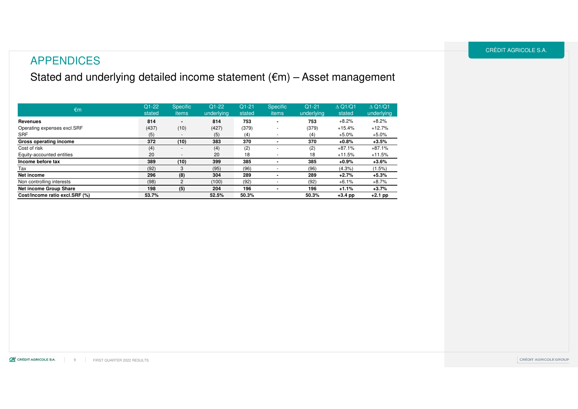### APPENDICES

Stated and underlying detailed income statement (€m) – Asset management

| $\epsilon$ m                   | $Q1-22$<br>stated | <b>Specific</b><br>items | $Q1-22$<br>underlying | $Q1 - 21$<br>stated | <b>Specific</b><br><i>items</i> | $Q1-21$<br>underlying | $\triangle$ Q1/Q1<br>stated | $\triangle$ Q1/Q1<br>underlying |
|--------------------------------|-------------------|--------------------------|-----------------------|---------------------|---------------------------------|-----------------------|-----------------------------|---------------------------------|
| Revenues                       | 814               | $\blacksquare$           | 814                   | 753                 |                                 | 753                   | $+8.2%$                     | $+8.2%$                         |
| Operating expenses excl.SRF    | (437)             | (10)                     | (427)                 | (379)               |                                 | (379)                 | $+15.4%$                    | $+12.7%$                        |
| <b>SRF</b>                     | (5)               |                          | (5)                   | (4)                 |                                 | (4)                   | $+5.0%$                     | $+5.0%$                         |
| Gross operating income         | 372               | (10)                     | 383                   | 370                 |                                 | 370                   | $+0.8%$                     | $+3.5%$                         |
| Cost of risk                   | (4)               | $\overline{\phantom{a}}$ | (4)                   | (2)                 |                                 | (2)                   | $+87.1%$                    | $+87.1%$                        |
| Equity-accounted entities      | 20                |                          | 20                    | 18                  |                                 | 18                    | $+11.5%$                    | $+11.5%$                        |
| Income before tax              | 389               | (10)                     | 399                   | 385                 |                                 | 385                   | +0.9%                       | $+3.6%$                         |
| Tax                            | (92)              | 3                        | (95)                  | (96)                |                                 | (96)                  | (4.3%)                      | (1.5%)                          |
| Net income                     | 296               | (8)                      | 304                   | 289                 |                                 | 289                   | $+2.7%$                     | $+5.3%$                         |
| Non controlling interests      | (98)              | $\overline{2}$           | (100)                 | (92)                |                                 | (92)                  | $+6.1%$                     | $+8.7%$                         |
| Net income Group Share         | 198               | (5)                      | 204                   | 196                 |                                 | 196                   | $+1.1%$                     | $+3.7%$                         |
| Cost/Income ratio excl.SRF (%) | 53.7%             |                          | 52.5%                 | 50.3%               |                                 | 50.3%                 | $+3.4$ pp                   | $+2.1$ pp                       |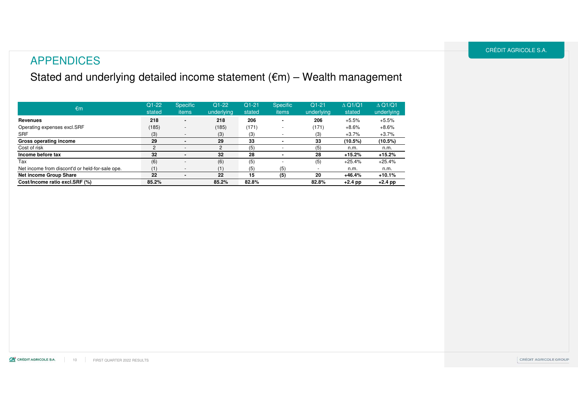### APPENDICES

### Stated and underlying detailed income statement (€m) – Wealth management

| $\epsilon$ m                                    | $Q1-22$<br>stated | <b>Specific</b><br>items | $Q1-22$<br>underlying | $Q1-21$<br>stated | <b>Specific</b><br><i>items</i> | $Q1-21$<br>underlying | $\triangle$ Q1/Q1<br>stated | $\triangle$ Q1/Q1<br>underlying |
|-------------------------------------------------|-------------------|--------------------------|-----------------------|-------------------|---------------------------------|-----------------------|-----------------------------|---------------------------------|
| <b>Revenues</b>                                 | 218               | ۰.                       | 218                   | 206               |                                 | 206                   | $+5.5%$                     | $+5.5%$                         |
| Operating expenses excl. SRF                    | (185)             | $\overline{\phantom{a}}$ | (185)                 | (171)             |                                 | (171)                 | $+8.6%$                     | $+8.6%$                         |
| <b>SRF</b>                                      | (3)               | $\overline{\phantom{a}}$ | (3)                   | (3)               |                                 | (3)                   | $+3.7%$                     | $+3.7%$                         |
| Gross operating income                          | 29                |                          | 29                    | 33                |                                 | 33                    | (10.5%)                     | (10.5%)                         |
| Cost of risk                                    | 2                 |                          |                       | (5)               |                                 | (5)                   | n.m.                        | n.m.                            |
| Income before tax                               | 32                |                          | 32                    | 28                |                                 | 28                    | $+15.2%$                    | $+15.2%$                        |
| Tax                                             | (6)               | $\overline{\phantom{a}}$ | (6)                   | (5)               |                                 | (5)                   | $+25.4%$                    | $+25.4%$                        |
| Net income from discont'd or held-for-sale ope. | (1)               |                          | (1)                   | (5)               | (5)                             |                       | n.m.                        | n.m.                            |
| <b>Net income Group Share</b>                   | 22                |                          | 22                    | 15                | (5)                             | 20                    | $+46.4%$                    | $+10.1%$                        |
| Cost/Income ratio excl.SRF (%)                  | 85.2%             |                          | 85.2%                 | 82.8%             |                                 | 82.8%                 | $+2.4$ pp                   | $+2.4$ pp                       |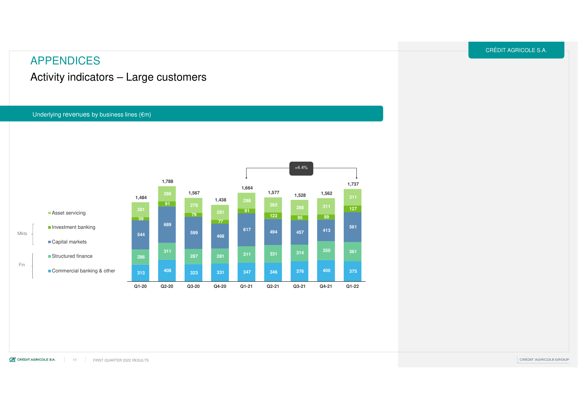Activity indicators – Large customers

#### Underlying revenues by business lines  $(\mathsf{f}\mathsf{m})$

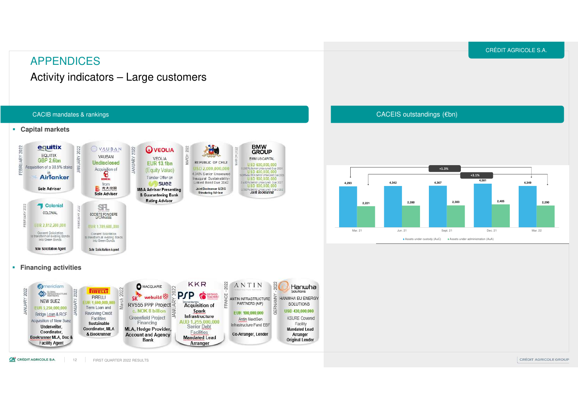### APPENDICES

Activity indicators – Large customers



CACEIS outstandings (€bn)



CA CRÉDIT AGRICOLE S.A. FIRST QUARTER 2022 RESULTS12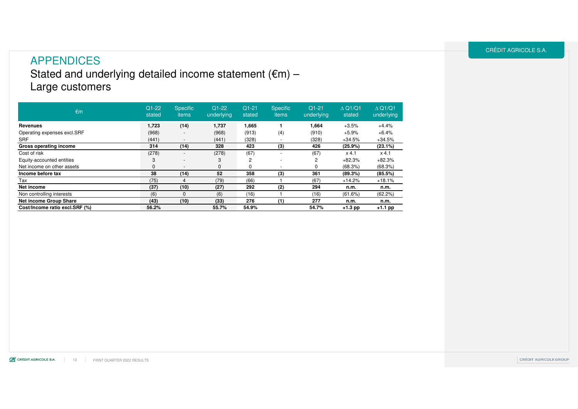### APPENDICESStated and underlying detailed income statement  $(\mathsf{ \in \!} m)$  – Large customers

| €m                             | $Q1-22$<br>stated | <b>Specific</b><br>items | $Q1-22$<br>underlying | $Q1-21$<br>stated | <b>Specific</b><br><i>items</i> | $Q1-21$<br>underlying | $\triangle$ Q1/Q1<br>stated | $\triangle$ Q1/Q1<br>underlying |
|--------------------------------|-------------------|--------------------------|-----------------------|-------------------|---------------------------------|-----------------------|-----------------------------|---------------------------------|
| Revenues                       | 1,723             | (14)                     | 1,737                 | 1,665             |                                 | 1.664                 | $+3.5%$                     | $+4.4%$                         |
| Operating expenses excl.SRF    | (968)             | $\overline{\phantom{a}}$ | (968)                 | (913)             | (4)                             | (910)                 | $+5.9%$                     | $+6.4%$                         |
| <b>SRF</b>                     | (441)             | $\overline{\phantom{a}}$ | (441)                 | (328)             |                                 | (328)                 | $+34.5%$                    | $+34.5%$                        |
| Gross operating income         | 314               | (14)                     | 328                   | 423               | (3)                             | 426                   | $(25.9\%)$                  | (23.1%)                         |
| Cost of risk                   | (278)             | $\overline{\phantom{a}}$ | (278)                 | (67)              |                                 | (67)                  | $x$ 4.1                     | $x$ 4.1                         |
| Equity-accounted entities      | 3                 | $\overline{\phantom{a}}$ | 3                     | 2                 |                                 | 2                     | $+82.3%$                    | $+82.3%$                        |
| Net income on other assets     | $\mathbf{0}$      | $\overline{\phantom{a}}$ | $\Omega$              |                   | $\overline{a}$                  | 0                     | (68.3%)                     | (68.3%)                         |
| Income before tax              | 38                | (14)                     | 52                    | 358               | (3)                             | 361                   | (89.3%)                     | (85.5%)                         |
| Tax                            | (75)              | 4                        | (79)                  | (66)              |                                 | (67)                  | $+14.2%$                    | $+18.1%$                        |
| Net income                     | (37)              | (10)                     | (27)                  | 292               | (2)                             | 294                   | n.m.                        | n.m.                            |
| Non controlling interests      | (6)               | $\mathbf{0}$             | (6)                   | (16)              |                                 | (16)                  | (61.6%)                     | (62.2%)                         |
| <b>Net income Group Share</b>  | (43)              | (10)                     | (33)                  | 276               | (1)                             | 277                   | n.m.                        | n.m.                            |
| Cost/Income ratio excl.SRF (%) | 56.2%             |                          | 55.7%                 | 54.9%             |                                 | 54.7%                 | $+1.3$ pp                   | $+1.1$ pp                       |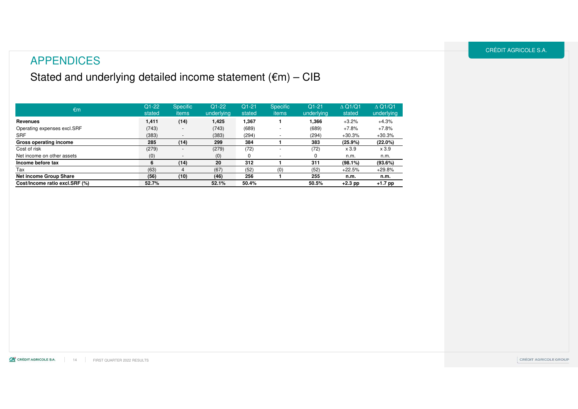### APPENDICES

### Stated and underlying detailed income statement (€m) – CIB

| €m                             | $Q1-22$<br>stated | <b>Specific</b><br>items | $Q1-22$<br>underlying | $Q1 - 21$<br>stated | <b>Specific</b><br>items | $Q1 - 21$<br>underlying | $\triangle$ Q1/Q1<br>stated | $\triangle$ Q1/Q1<br>underlying |
|--------------------------------|-------------------|--------------------------|-----------------------|---------------------|--------------------------|-------------------------|-----------------------------|---------------------------------|
| Revenues                       | 1,411             | (14)                     | 1,425                 | 1,367               |                          | 1,366                   | $+3.2%$                     | $+4.3%$                         |
| Operating expenses excl.SRF    | (743)             | $\overline{\phantom{a}}$ | (743)                 | (689)               |                          | (689)                   | $+7.8%$                     | $+7.8%$                         |
| <b>SRF</b>                     | (383)             | $\overline{\phantom{a}}$ | (383)                 | (294)               |                          | (294)                   | $+30.3%$                    | $+30.3%$                        |
| Gross operating income         | 285               | (14)                     | 299                   | 384                 |                          | 383                     | (25.9%)                     | (22.0%)                         |
| Cost of risk                   | (279)             | $\overline{\phantom{a}}$ | (279)                 | (72)                |                          | (72)                    | x 3.9                       | x 3.9                           |
| Net income on other assets     | (0)               | $\overline{\phantom{a}}$ | (0)                   | $\Omega$            |                          | 0                       | n.m.                        | n.m.                            |
| Income before tax              | 6                 | (14)                     | 20                    | 312                 |                          | 311                     | $(98.1\%)$                  | (93.6%)                         |
| Tax                            | (63)              |                          | (67)                  | (52)                | (0)                      | (52)                    | $+22.5%$                    | $+29.8%$                        |
| Net income Group Share         | (56)              | (10)                     | (46)                  | 256                 |                          | 255                     | n.m.                        | n.m.                            |
| Cost/Income ratio excl.SRF (%) | 52.7%             |                          | 52.1%                 | 50.4%               |                          | 50.5%                   | $+2.3$ pp                   | +1.7 pp                         |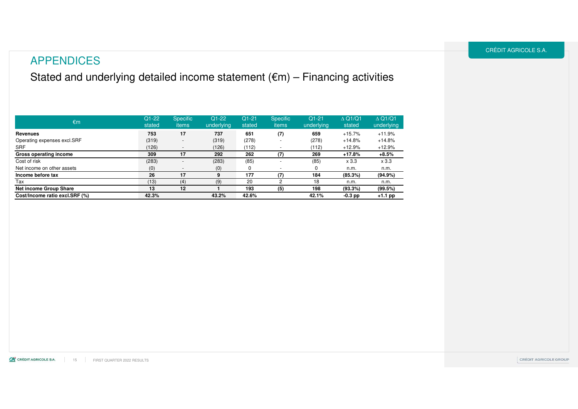### APPENDICES

Stated and underlying detailed income statement (€m) – Financing activities

| €m                             | $Q1-22$<br>stated | <b>Specific</b><br>items | $Q1-22$<br>underlying | $Q1 - 21$<br>stated | <b>Specific</b><br>items | $Q1-21$<br>underlying | $\triangle$ Q1/Q1<br>stated | $\triangle$ Q1/Q1<br>underlying |
|--------------------------------|-------------------|--------------------------|-----------------------|---------------------|--------------------------|-----------------------|-----------------------------|---------------------------------|
| <b>Revenues</b>                | 753               | 17                       | 737                   | 651                 | (7)                      | 659                   | $+15.7%$                    | $+11.9%$                        |
| Operating expenses excl. SRF   | (319)             | $\overline{\phantom{0}}$ | (319)                 | (278)               |                          | (278)                 | $+14.8%$                    | $+14.8%$                        |
| <b>SRF</b>                     | (126)             | $\overline{\phantom{0}}$ | (126)                 | (112)               |                          | (112)                 | $+12.9%$                    | $+12.9%$                        |
| Gross operating income         | 309               | 17                       | 292                   | 262                 | (7)                      | 269                   | $+17.8%$                    | $+8.5%$                         |
| Cost of risk                   | (283)             | $\overline{\phantom{0}}$ | (283)                 | (85)                |                          | (85)                  | x 3.3                       | x 3.3                           |
| Net income on other assets     | (0)               | $\overline{\phantom{a}}$ | (0)                   | $\Omega$            | $\overline{\phantom{a}}$ | 0                     | n.m.                        | n.m.                            |
| Income before tax              | 26                | 17                       | 9                     | 177                 | (7)                      | 184                   | (85.3%)                     | (94.9%)                         |
| Tax                            | (13)              | (4)                      | (9)                   | 20                  |                          | 18                    | n.m.                        | n.m.                            |
| Net income Group Share         | 13                | 12                       |                       | 193                 | (5)                      | 198                   | (93.3%)                     | (99.5%)                         |
| Cost/Income ratio excl.SRF (%) | 42.3%             |                          | 43.2%                 | 42.6%               |                          | 42.1%                 | $-0.3$ pp                   | +1.1 pp                         |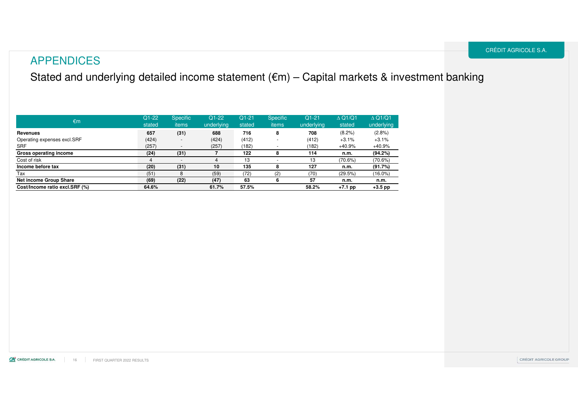Stated and underlying detailed income statement (€m) – Capital markets & investment banking

| $\epsilon$ m                   | $Q1-22$<br>stated | <b>Specific</b><br>items | $Q1-22$<br>underlying | $Q1 - 21$<br>stated | <b>Specific</b><br>items | $Q1-21$<br>underlying | $\triangle$ Q1/Q1<br>stated | $\triangle$ Q1/Q1<br>underlying |
|--------------------------------|-------------------|--------------------------|-----------------------|---------------------|--------------------------|-----------------------|-----------------------------|---------------------------------|
| Revenues                       | 657               | (31)                     | 688                   | 716                 |                          | 708                   | $(8.2\%)$                   | (2.8%)                          |
| Operating expenses excl.SRF    | (424)             | $\overline{\phantom{a}}$ | (424)                 | (412)               |                          | (412)                 | $+3.1%$                     | $+3.1%$                         |
| <b>SRF</b>                     | (257)             | $\overline{\phantom{a}}$ | (257)                 | (182)               |                          | (182)                 | +40.9%                      | $+40.9%$                        |
| Gross operating income         | (24)              | (31)                     |                       | 122                 |                          | 114                   | n.m.                        | (94.2%)                         |
| Cost of risk                   | 4                 | $\overline{\phantom{a}}$ |                       | 13                  |                          | 13                    | (70.6%)                     | (70.6%)                         |
| Income before tax              | (20)              | (31)                     | 10                    | 135                 |                          | 127                   | n.m.                        | (91.7%)                         |
| Tax                            | (51)              | 8                        | (59)                  | (72)                | (2)                      | (70)                  | (29.5%)                     | $(16.0\%)$                      |
| Net income Group Share         | (69)              | (22)                     | (47)                  | 63                  |                          | 57                    | n.m.                        | n.m.                            |
| Cost/Income ratio excl.SRF (%) | 64.6%             |                          | 61.7%                 | 57.5%               |                          | 58.2%                 | $+7.1$ pp                   | $+3.5$ pp                       |

CA CRÉDIT AGRICOLE S.A. 16 FIRST QUARTER 2022 RESULTS CRÉDIT AGRICOLE S.A.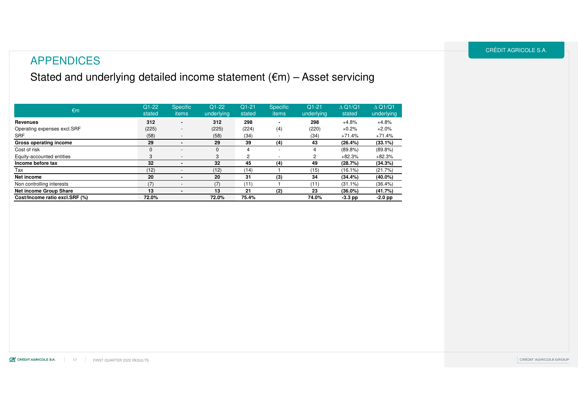### APPENDICES

### Stated and underlying detailed income statement (€m) – Asset servicing

| €m                             | $Q1-22$<br>stated | <b>Specific</b><br>items | $Q1-22$<br>underlying | $Q1 - 21$<br>stated | <b>Specific</b><br>items | $Q1-21$<br>underlying | $\triangle$ Q1/Q1<br>stated | $\triangle$ Q1/Q1<br>underlying |
|--------------------------------|-------------------|--------------------------|-----------------------|---------------------|--------------------------|-----------------------|-----------------------------|---------------------------------|
| Revenues                       | 312               | $\blacksquare$           | 312                   | 298                 |                          | 298                   | $+4.8%$                     | $+4.8%$                         |
| Operating expenses excl. SRF   | (225)             | ٠                        | (225)                 | (224)               | (4)                      | (220)                 | $+0.2%$                     | $+2.0%$                         |
| <b>SRF</b>                     | (58)              | -                        | (58)                  | (34)                |                          | (34)                  | $+71.4%$                    | $+71.4%$                        |
| Gross operating income         | 29                |                          | 29                    | 39                  | (4)                      | 43                    | (26.4%)                     | $(33.1\%)$                      |
| Cost of risk                   | 0                 | ٠                        | $\Omega$              | 4                   | $\overline{a}$           | 4                     | $(89.8\%)$                  | $(89.8\%)$                      |
| Equity-accounted entities      | 3                 | $\overline{\phantom{a}}$ | 3                     | 2                   | $\overline{\phantom{a}}$ | 2                     | $+82.3%$                    | $+82.3%$                        |
| Income before tax              | 32                |                          | 32                    | 45                  | (4)                      | 49                    | (28.7%)                     | (34.3%)                         |
| Tax                            | (12)              |                          | (12)                  | (14)                |                          | (15)                  | $(16.1\%)$                  | (21.7%)                         |
| Net income                     | 20                | $\blacksquare$           | 20                    | 31                  | (3)                      | 34                    | (34.4%)                     | $(40.0\%)$                      |
| Non controlling interests      | (7)               |                          | (7)                   | (11)                |                          | (11)                  | $(31.1\%)$                  | $(36.4\%)$                      |
| Net income Group Share         | 13                |                          | 13                    | 21                  | (2)                      | 23                    | $(36.0\%)$                  | (41.7%)                         |
| Cost/Income ratio excl.SRF (%) | 72.0%             |                          | 72.0%                 | 75.4%               |                          | 74.0%                 | $-3.3$ pp                   | $-2.0$ pp                       |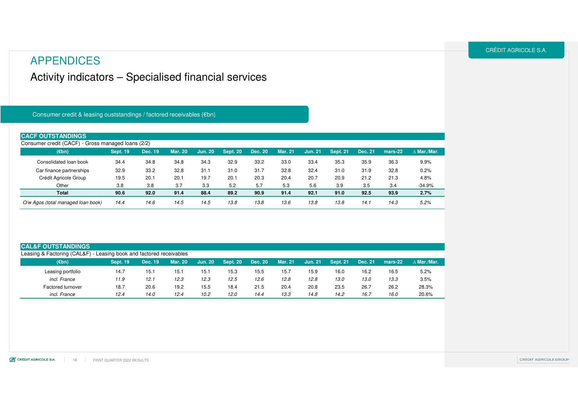### APPENDICES

### Activity indicators – Specialised financial services

#### Consumer credit & leasing ouststandings / factored receivables (€bn)

| <b>CACF OUTSTANDINGS</b>                           |                 |         |                |                |                 |         |                |                |                 |         |         |                    |
|----------------------------------------------------|-----------------|---------|----------------|----------------|-----------------|---------|----------------|----------------|-----------------|---------|---------|--------------------|
| Consumer credit (CACF) - Gross managed loans (2/2) |                 |         |                |                |                 |         |                |                |                 |         |         |                    |
| $(\epsilon$ bn)                                    | <b>Sept. 19</b> | Dec. 19 | <b>Mar. 20</b> | <b>Jun. 20</b> | <b>Sept. 20</b> | Dec. 20 | <b>Mar. 21</b> | <b>Jun. 21</b> | <b>Sept. 21</b> | Dec. 21 | mars-22 | $\wedge$ Mar./Mar. |
| Consolidated loan book                             | 34.4            | 34.8    | 34.8           | 34.3           | 32.9            | 33.2    | 33.0           | 33.4           | 35.3            | 35.9    | 36.3    | 9.9%               |
| Car finance partnerships                           | 32.9            | 33.2    | 32.8           | 31.1           | 31.0            | 31.7    | 32.8           | 32.4           | 31.0            | 31.9    | 32.8    | 0.2%               |
| Crédit Agricole Group                              | 19.5            | 20.1    | 20.1           | 19.7           | 20.1            | 20.3    | 20.4           | 20.7           | 20.9            | 21.2    | 21.3    | 4.8%               |
| Other                                              | 3.8             | 3.8     | 3.7            | 3.3            | 5.2             | 5.7     | 5.3            | 5.6            | 3.9             | 3.5     | 3.4     | $-34.9%$           |
| Total                                              | 90.6            | 92.0    | 91.4           | 88.4           | 89.2            | 90.9    | 91.4           | 92.1           | 91.0            | 92.5    | 93.9    | 2.7%               |
| O/w Agos (total managed loan book)                 | 14.4            | 14.6    | 14.5           | 14.5           | 13.8            | 13.8    | 13.6           | 13.8           | 13.8            | 14.7    | 14.3    | 5.2%               |

#### **CAL&F OUTSTANDINGS**

| $(\epsilon$ bn)   | <b>Sept. 19</b> | Dec. 19 | <b>Mar. 20</b> | <b>Jun. 20</b> | $\textsf{Sept.}\ 20$ | <b>Dec. 20</b> | <b>Mar. 21</b> | <b>Jun. 21</b> | Sept. 21 | Dec. 21 | mars-22 | $\wedge$ Mar./Mar. |
|-------------------|-----------------|---------|----------------|----------------|----------------------|----------------|----------------|----------------|----------|---------|---------|--------------------|
| Leasing portfolio | 14.7            | 15.1    | 15.1           | 15.7           | 15.3                 | 15.5           | 15.7           | 15.9           | 16.0     | 16.2    | 16.5    | 5.2%               |
| incl. France      | 11.9            | 12.1    | 12.3           | 12.3           | 12.5                 | 12.6           | 12.8           | 12.8           | 13.0     | 13.0    | 13.3    | 3.5%               |
| Factored turnover | 18.7            | 20.6    | 19.2           | 15.5           | 18.4                 | 21.5           | 20.4           | 20.8           | 23.5     | 26.7    | 26.2    | 28.3%              |
| incl. France      | 12.4            | 14.0    | 12.4           | 10.2           | 12.0                 | 14.4           | 13.3           | 14.8           | 14.2     | 16.7    | 16.0    | 20.6%              |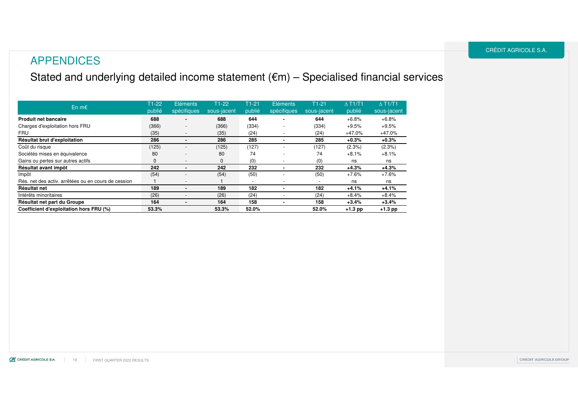### Stated and underlying detailed income statement (€m) – Specialised financial services

| En $m \in$                                          | $T1-22$<br>publié | Eléments<br>spécifiques  | $T1-22$<br>sous-jacent | $T1-21$<br>publié        | Eléments<br>spécifiques | $T1-21$<br>sous-jacent | $\triangle$ T <sub>1</sub> /T <sub>1</sub><br>publié | $\triangle$ T <sub>1</sub> /T <sub>1</sub><br>sous-jacent |
|-----------------------------------------------------|-------------------|--------------------------|------------------------|--------------------------|-------------------------|------------------------|------------------------------------------------------|-----------------------------------------------------------|
| <b>Produit net bancaire</b>                         | 688               | ۰.                       | 688                    | 644                      |                         | 644                    | $+6.8%$                                              | $+6.8%$                                                   |
| Charges d'exploitation hors FRU                     | (366)             | $\overline{\phantom{a}}$ | (366)                  | (334)                    |                         | (334)                  | $+9.5%$                                              | $+9.5%$                                                   |
| FRU                                                 | (35)              | $\overline{\phantom{a}}$ | (35)                   | (24)                     |                         | (24)                   | $+47.0%$                                             | $+47.0%$                                                  |
| Résultat brut d'exploitation                        | 286               | $\blacksquare$           | 286                    | 285                      |                         | 285                    | $+0.3%$                                              | $+0.3%$                                                   |
| Coût du risque                                      | (125)             |                          | (125)                  | (127)                    |                         | (127)                  | $(2.3\%)$                                            | $(2.3\%)$                                                 |
| Sociétés mises en équivalence                       | 80                | $\overline{\phantom{a}}$ | 80                     | 74                       | ٠                       | 74                     | $+8.1%$                                              | $+8.1%$                                                   |
| Gains ou pertes sur autres actifs                   | $\mathbf{0}$      | $\overline{\phantom{a}}$ | $\mathbf{0}$           | (0)                      |                         | (0)                    | ns                                                   | ns                                                        |
| Résultat avant impôt                                | 242               |                          | 242                    | 232                      |                         | 232                    | $+4.3%$                                              | $+4.3%$                                                   |
| Impôt                                               | (54)              | ٠                        | (54)                   | (50)                     |                         | (50)                   | $+7.6%$                                              | $+7.6%$                                                   |
| Rés. net des activ. arrêtées ou en cours de cession |                   | $\overline{\phantom{a}}$ |                        | $\overline{\phantom{a}}$ | ٠                       |                        | ns                                                   | ns                                                        |
| Résultat net                                        | 189               |                          | 189                    | 182                      |                         | 182                    | $+4.1%$                                              | $+4.1%$                                                   |
| Intérêts minoritaires                               | (26)              |                          | (26)                   | (24)                     |                         | (24)                   | $+8.4%$                                              | $+8.4%$                                                   |
| Résultat net part du Groupe                         | 164               |                          | 164                    | 158                      |                         | 158                    | $+3.4%$                                              | $+3.4%$                                                   |
| Coefficient d'exploitation hors FRU (%)             | 53.3%             |                          | 53.3%                  | 52.0%                    |                         | 52.0%                  | $+1.3$ pp                                            | $+1.3$ pp                                                 |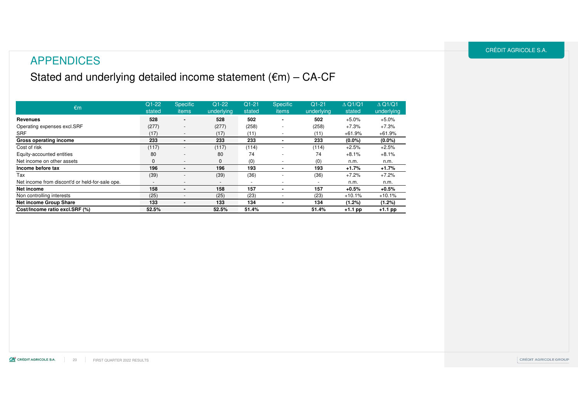### APPENDICES

### Stated and underlying detailed income statement (€m) – CA-CF

| $\epsilon$ m                                    | $Q1-22$<br>stated        | <b>Specific</b><br>items | $Q1-22$<br>underlying    | $Q1 - 21$<br>stated      | <b>Specific</b><br>items | $Q1-21$<br>underlying    | $\triangle$ Q1/Q1<br>stated | $\triangle$ Q1/Q1<br>underlying |
|-------------------------------------------------|--------------------------|--------------------------|--------------------------|--------------------------|--------------------------|--------------------------|-----------------------------|---------------------------------|
| Revenues                                        | 528                      | $\blacksquare$           | 528                      | 502                      | ۰                        | 502                      | $+5.0%$                     | $+5.0%$                         |
| Operating expenses excl.SRF                     | (277)                    |                          | (277)                    | (258)                    |                          | (258)                    | $+7.3%$                     | $+7.3%$                         |
| SRF                                             | (17)                     | ٠                        | (17)                     | (11)                     |                          | (11)                     | $+61.9%$                    | $+61.9%$                        |
| Gross operating income                          | 233                      | ۰                        | 233                      | 233                      |                          | 233                      | $(0.0\%)$                   | $(0.0\%)$                       |
| Cost of risk                                    | (117)                    |                          | (117)                    | (114)                    |                          | (114)                    | $+2.5%$                     | $+2.5%$                         |
| Equity-accounted entities                       | 80                       | ٠                        | 80                       | 74                       |                          | 74                       | $+8.1%$                     | $+8.1%$                         |
| Net income on other assets                      | $\mathbf{0}$             | ٠                        | $\Omega$                 | (0)                      |                          | (0)                      | n.m.                        | n.m.                            |
| Income before tax                               | 196                      | ۰                        | 196                      | 193                      |                          | 193                      | $+1.7%$                     | $+1.7%$                         |
| Tax                                             | (39)                     | ٠                        | (39)                     | (36)                     |                          | (36)                     | $+7.2%$                     | $+7.2%$                         |
| Net income from discont'd or held-for-sale ope. | $\overline{\phantom{a}}$ | ٠                        | $\overline{\phantom{a}}$ | $\overline{\phantom{0}}$ | $\overline{\phantom{a}}$ | $\overline{\phantom{a}}$ | n.m.                        | n.m.                            |
| Net income                                      | 158                      | ۰                        | 158                      | 157                      |                          | 157                      | $+0.5%$                     | $+0.5%$                         |
| Non controlling interests                       | (25)                     | ٠                        | (25)                     | (23)                     |                          | (23)                     | $+10.1%$                    | $+10.1%$                        |
| <b>Net income Group Share</b>                   | 133                      | ٠                        | 133                      | 134                      |                          | 134                      | (1.2%)                      | (1.2%)                          |
| Cost/Income ratio excl.SRF (%)                  | 52.5%                    |                          | 52.5%                    | 51.4%                    |                          | 51.4%                    | $+1.1$ pp                   | $+1.1$ pp                       |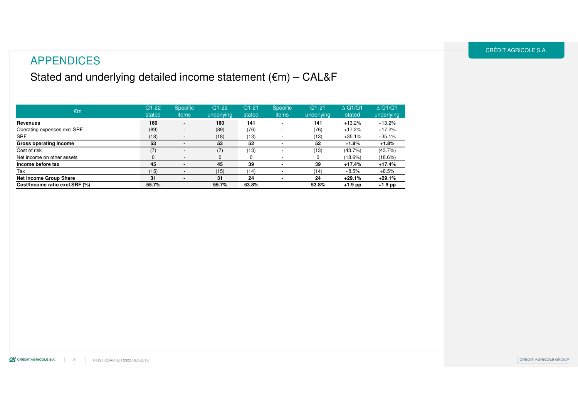### APPENDICES

### Stated and underlying detailed income statement (€m) – CAL&F

| $\epsilon$ m                   | $Q1 - 22$<br>stated | <b>Specific</b><br>items | $Q1-22$<br>underlying | $Q1-21$<br>stated | <b>Specific</b><br>items | $Q1-21$<br>underlying | $\triangle$ Q1/Q1<br>stated | $\triangle$ Q1/Q1<br>underlying |
|--------------------------------|---------------------|--------------------------|-----------------------|-------------------|--------------------------|-----------------------|-----------------------------|---------------------------------|
| Revenues                       | 160                 | $\blacksquare$           | 160                   | 141               |                          | 141                   | $+13.2%$                    | $+13.2%$                        |
| Operating expenses excl.SRF    | (89)                | $\overline{\phantom{a}}$ | (89)                  | (76)              | $\overline{\phantom{0}}$ | (76)                  | $+17.2%$                    | $+17.2%$                        |
| <b>SRF</b>                     | (18)                | $\overline{\phantom{a}}$ | (18)                  | (13)              |                          | (13)                  | $+35.1%$                    | $+35.1%$                        |
| Gross operating income         | 53                  |                          | 53                    | 52                |                          | 52                    | $+1.8%$                     | $+1.8%$                         |
| Cost of risk                   | (7)                 | $\overline{\phantom{a}}$ | (7)                   | (13)              |                          | (13)                  | $(43.7\%)$                  | $(43.7\%)$                      |
| Net income on other assets     | $\mathbf{0}$        | $\overline{\phantom{0}}$ |                       | $\Omega$          |                          |                       | $(18.6\%)$                  | (18.6%)                         |
| Income before tax              | 45                  |                          | 45                    | 39                |                          | 39                    | +17.4%                      | $+17.4%$                        |
| Tax                            | (15)                |                          | (15)                  | (14)              |                          | (14)                  | $+8.5%$                     | $+8.5%$                         |
| <b>Net income Group Share</b>  | 31                  |                          | 31                    | 24                |                          | 24                    | $+29.1%$                    | $+29.1%$                        |
| Cost/Income ratio excl.SRF (%) | 55.7%               |                          | 55.7%                 | 53.8%             |                          | 53.8%                 | $+1.9$ pp                   | $+1.9$ pp                       |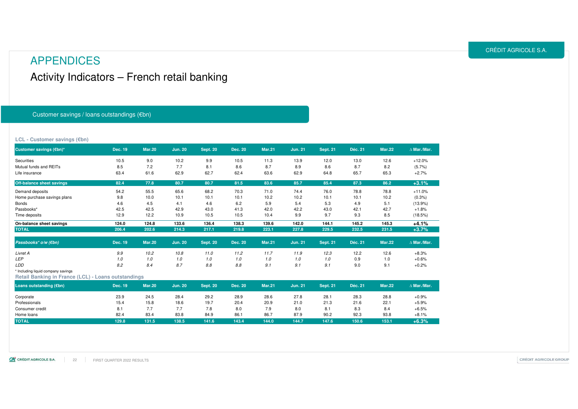### Activity Indicators – French retail banking APPENDICES

#### Customer savings / loans outstandings (€bn)

#### **LCL - Customer savings (€bn)**

| Customer savings (€bn)*                             | Dec. 19 | <b>Mar.20</b> | <b>Jun. 20</b> | <b>Sept. 20</b> | <b>Dec. 20</b> | <b>Mar.21</b> | Jun. 21        | <b>Sept. 21</b> | Déc. 21 | <b>Mar.22</b> | $\Delta$ Mar./Mar. |
|-----------------------------------------------------|---------|---------------|----------------|-----------------|----------------|---------------|----------------|-----------------|---------|---------------|--------------------|
| Securities                                          | 10.5    | 9.0           | 10.2           | 9.9             | 10.5           | 11.3          | 13.9           | 12.0            | 13.0    | 12.6          | $+12.0%$           |
| Mutual funds and REITs                              | 8.5     | 7.2           | 7.7            | 8.1             | 8.6            | 8.7           | 8.9            | 8.6             | 8.7     | 8.2           | (5.7%)             |
| Life insurance                                      | 63.4    | 61.6          | 62.9           | 62.7            | 62.4           | 63.6          | 62.9           | 64.8            | 65.7    | 65.3          | $+2.7%$            |
| <b>Off-balance sheet savings</b>                    | 82.4    | 77.8          | 80.7           | 80.7            | 81.5           | 83.6          | 85.7           | 85.4            | 87.3    | 86.2          | $+3.1%$            |
| Demand deposits                                     | 54.2    | 55.5          | 65.6           | 68.2            | 70.3           | 71.0          | 74.4           | 76.0            | 78.8    | 78.8          | $+11.0%$           |
| Home purchase savings plans                         | 9.8     | 10.0          | 10.1           | 10.1            | 10.1           | 10.2          | 10.2           | 10.1            | 10.1    | 10.2          | (0.3%              |
| <b>Bonds</b>                                        | 4.6     | 4.5           | 4.1            | 4.6             | 6.2            | 5.9           | 5.4            | 5.3             | 4.9     | 5.1           | $(13.9\%)$         |
| Passbooks*                                          | 42.5    | 42.5          | 42.9           | 43.0            | 41.3           | 42.0          | 42.2           | 43.0            | 42.1    | 42.7          | $+1.8%$            |
| Time deposits                                       | 12.9    | 12.2          | 10.9           | 10.5            | 10.5           | 10.4          | 9.9            | 9.7             | 9.3     | 8.5           | (18.5%)            |
| On-balance sheet savings                            | 124.0   | 124.8         | 133.6          | 136.4           | 138.3          | 139.6         | 142.0          | 144.1           | 145.2   | 145.3         | $+4.1%$            |
| <b>TOTAL</b>                                        | 206.4   | 202.6         | 214.3          | 217.1           | 219.8          | 223.1         | 227.8          | 229.5           | 232.5   | 231.5         | $+3.7%$            |
| Passbooks <sup>*</sup> o/w (€bn)                    | Dec. 19 | <b>Mar.20</b> | <b>Jun. 20</b> | <b>Sept. 20</b> | <b>Dec. 20</b> | <b>Mar.21</b> | <b>Jun. 21</b> | <b>Sept. 21</b> | Déc. 21 | <b>Mar.22</b> | $\Delta$ Mar./Mar. |
| Livret A                                            | 9.9     | 10.2          | 10.8           | 11.0            | 11.2           | 11.7          | 11.9           | 12.3            | 12.2    | 12.6          | $+8.3%$            |
| <b>LEP</b>                                          | 1.0     | 1.0           | 1.0            | 1.0             | 1.0            | 1.0           | 1.0            | 1.0             | 0.9     | 1.0           | $+0.6%$            |
| LDD                                                 | 8.2     | 8.4           | 8.7            | 8.8             | 8.8            | 9.1           | 9.1            | 9.1             | 9.0     | 9.1           | $+0.2%$            |
| * Including liquid company savings                  |         |               |                |                 |                |               |                |                 |         |               |                    |
| Retail Banking in France (LCL) - Loans outstandings |         |               |                |                 |                |               |                |                 |         |               |                    |
| Loans outstanding (€bn)                             | Dec. 19 | <b>Mar.20</b> | <b>Jun. 20</b> | <b>Sept. 20</b> | <b>Dec. 20</b> | <b>Mar.21</b> | <b>Jun. 21</b> | <b>Sept. 21</b> | Déc. 21 | <b>Mar.22</b> | $\Delta$ Mar./Mar. |

| Loans outstanding (€bn) | Dec. 19 | <b>Mar.20</b> | <b>Jun. 20</b> | <b>Sept. 20</b> | Dec. 20 | <b>Mar.21</b> | Jun. 21 | <b>Sept. 21</b> | Déc. 21 | <b>Mar.22</b> | $\Delta$ Mar./Mar. |
|-------------------------|---------|---------------|----------------|-----------------|---------|---------------|---------|-----------------|---------|---------------|--------------------|
| Corporate               | 23.9    | 24.5          | 28.4           | 29.2            | 28.9    | 28.6          | 27.8    | 28.7            | 28.3    | 28.8          | $+0.9%$            |
| Professionals           | 15.4    | 15.8          | 18.6           | 19.7            | 20.4    | 20.9          | 21.0    | 21.3            | 21.6    | 22.1          | $+5.9%$            |
| Consumer credit         | 8.1     | 7.7           | 7.7            | 7.8             | 8.0     | 7.9           | 8.0     | 8.1             | 8.3     | 8.4           | $+6.5%$            |
| Home loans              | 82.4    | 83.4          | 83.8           | 84.9            | 86.1    | 86.7          | 87.9    | 90.2            | 92.3    | 93.8          | $+8.1%$            |
| TOTAL                   | 129.8   | 131.5         | 138.5          | 141.6           | 143.4   | 144.0         | 144.7   | 147.6           | 150.6   | 153.1         | $+6.3%$            |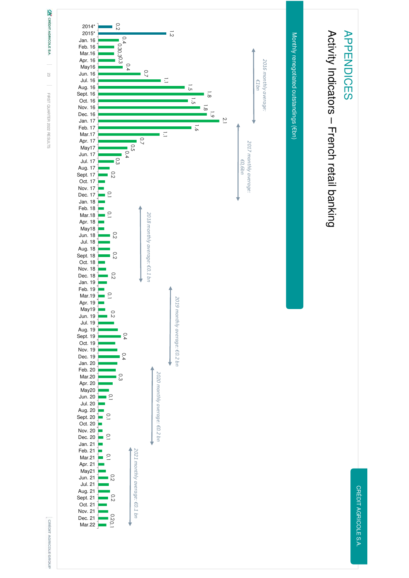

23 L FIRST QUARTER 2022 RESULTS FIRST QUARTER 2022 RESULTS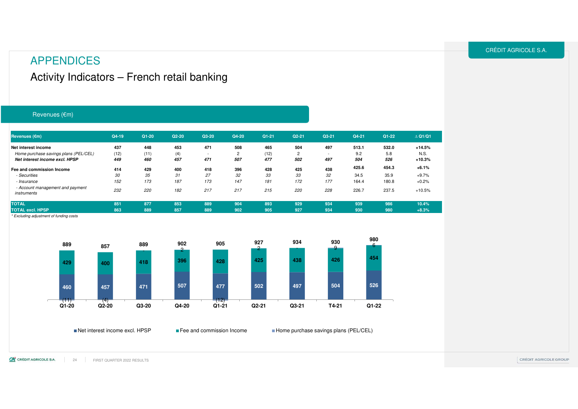### APPENDICES

### Activity Indicators – French retail banking

#### Revenues (€m)

| Revenues (€m)                                   | Q4-19 | $Q1 - 20$ | $Q2 - 20$ | Q3-20                    | Q4-20          | $Q1 - 21$ | $Q2 - 21$ | $Q3 - 21$                | Q4-21 | $Q1 - 22$ | $\triangle$ Q1/Q1 |  |
|-------------------------------------------------|-------|-----------|-----------|--------------------------|----------------|-----------|-----------|--------------------------|-------|-----------|-------------------|--|
| Net interest income                             | 437   | 448       | 453       | 471                      | 508            | 465       | 504       | 497                      | 513.1 | 532.0     | $+14.5%$          |  |
| Home purchase savings plans (PEL/CEL)           | (12)  | (11)      | (4)       | $\overline{\phantom{a}}$ | $\overline{2}$ | (12)      |           | $\overline{\phantom{a}}$ | 9.2   | 5.8       | N.S.              |  |
| Net interest income excl. HPSP                  | 449   | 460       | 457       | 471                      | 507            | 477       | 502       | 497                      | 504   | 526       | $+10.3%$          |  |
| Fee and commission Income                       | 414   | 429       | 400       | 418                      | 396            | 428       | 425       | 438                      | 425.6 | 454.3     | $+6.1%$           |  |
| - Securities                                    | 30    | 35        | 31        | 27                       | 32             | 33        | 33        | 32                       | 34.5  | 35.9      | $+9.7%$           |  |
| - Insurance                                     | 152   | 173       | 187       | 173                      | 147            | 181       | 172       | 177                      | 164.4 | 180.8     | $+0.2%$           |  |
| - Account management and payment<br>instruments | 232   | 220       | 182       | 217                      | 217            | 215       | 220       | 228                      | 226.7 | 237.5     | $+10.5%$          |  |
| <b>TOTAL</b>                                    | 851   | 877       | 853       | 889                      | 904            | 893       | 929       | 934                      | 939   | 986       | 10.4%             |  |
| <b>TOTAL excl. HPSP</b>                         | 863   | 889       | 857       | 889                      | 902            | 905       | 927       | 934                      | 930   | 980       | $+8.3%$           |  |
|                                                 |       |           |           |                          |                |           |           |                          |       |           |                   |  |

\* Excluding adjustment of funding costs



Net interest income excl. HPSP

**Fee and commission Income Home purchase savings plans (PEL/CEL)**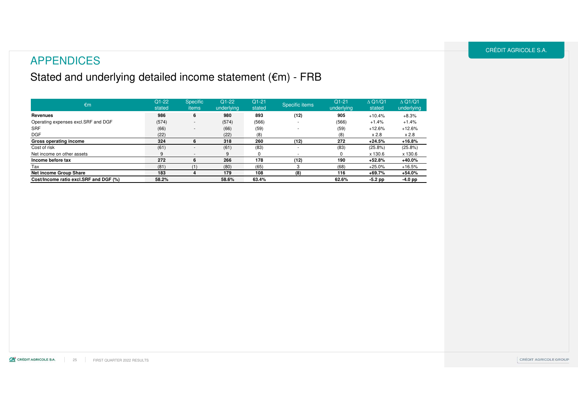### APPENDICES

### Stated and underlying detailed income statement (€m) - FRB

| $\epsilon$ m                           | $Q1-22$<br>stated | <b>Specific</b><br>items | $Q1-22$<br>underlying | $Q1 - 21$<br>stated | Specific items | $Q1-21$<br>underlying | $\triangle$ Q1/Q1<br>stated | $\triangle$ Q1/Q1<br>underlying |
|----------------------------------------|-------------------|--------------------------|-----------------------|---------------------|----------------|-----------------------|-----------------------------|---------------------------------|
| Revenues                               | 986               | 6                        | 980                   | 893                 | (12)           | 905                   | $+10.4%$                    | $+8.3%$                         |
| Operating expenses excl.SRF and DGF    | (574)             |                          | (574)                 | (566)               |                | (566)                 | $+1.4%$                     | $+1.4%$                         |
| <b>SRF</b>                             | (66)              | $\overline{\phantom{a}}$ | (66)                  | (59)                |                | (59)                  | $+12.6%$                    | $+12.6%$                        |
| <b>DGF</b>                             | (22)              |                          | (22)                  | (8)                 |                | (8)                   | x 2.8                       | x 2.8                           |
| Gross operating income                 | 324               | ь                        | 318                   | 260                 | (12)           | 272                   | $+24.5%$                    | $+16.8%$                        |
| Cost of risk                           | (61)              |                          | (61)                  | (83)                |                | (83)                  | $(25.8\%)$                  | $(25.8\%)$                      |
| Net income on other assets             |                   |                          |                       |                     |                |                       | x 130.6                     | x 130.6                         |
| Income before tax                      | 272               | 6                        | 266                   | 178                 | (12)           | 190                   | $+52.8%$                    | $+40.0%$                        |
| Tax                                    | (81)              |                          | (80)                  | (65)                | 3              | (68)                  | $+25.0%$                    | $+16.5%$                        |
| Net income Group Share                 | 183               |                          | 179                   | 108                 | (8)            | 116                   | $+69.7%$                    | $+54.0%$                        |
| Cost/Income ratio excl.SRF and DGF (%) | 58.2%             |                          | 58.6%                 | 63.4%               |                | 62.6%                 | $-5.2$ pp                   | $-4.0$ pp                       |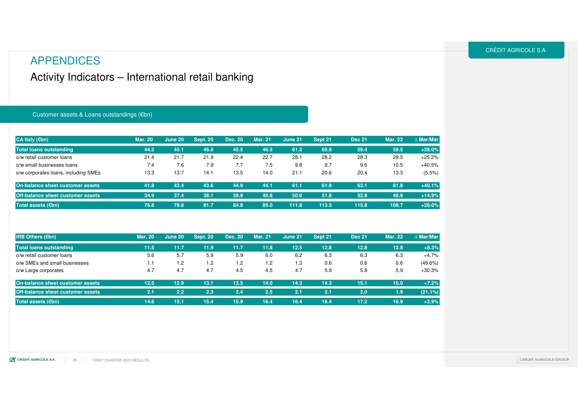### Activity Indicators – International retail banking

#### Customer assets & Loans outstandings (€bn)

| CA Italy $(\epsilon$ bn)                 | <b>Mar. 20</b> | June 20 | <b>Sept. 20</b> | Dec. 20 | <b>Mar. 21</b> | June 21 | Sept 21 | <b>Dec 21</b> | <b>Mar. 22</b> | $\triangle$ Mar/Mar |
|------------------------------------------|----------------|---------|-----------------|---------|----------------|---------|---------|---------------|----------------|---------------------|
| Total loans outstanding                  | 44.2           | 45.1    | 46.0            | 45.5    | 46.5           | 61.2    | 60.9    | 59.4          | 59.5           | $+28.0%$            |
| o/w retail customer loans                | 21.4           | 21.7    | 21.9            | 22.4    | 22.7           | 28.1    | 28.2    | 28.3          | 28.5           | $+25.2%$            |
| o/w small businesses loans               | 7.4            | 7.6     | 7.9             | 7.7     | 7.5            | 9.8     | 9.7     | 9.6           | 10.5           | $+40.5%$            |
| o/w corporates loans, including SMEs     | 13.3           | 13.7    | 14.1            | 13.5    | 14.0           | 21.1    | 20.6    | 20.4          | 13.3           | $(5.5\%)$           |
| On-balance sheet customer assets         | 41.8           | 42.4    | 43.6            | 44.9    | 44.1           | 61.1    | 61.9    | 63.1          | 61.8           | $+40.1%$            |
| <b>Off-balance sheet customer assets</b> | 34.9           | 37.4    | 38.1            | 39.9    | 40.8           | 50.6    | 51.6    | 52.8          | 46.9           | $+14.9%$            |
| Total assets (€bn)                       | 76.8           | 79.8    | 81.7            | 84.8    | 85.0           | 111.8   | 113.5   | 115.8         | 108.7          | $+28.0%$            |

| <b>IRB Others (<math>\epsilon</math>bn)</b> | <b>Mar. 20</b> | June 20 | <b>Sept. 20</b> | <b>Dec. 20</b> | <b>Mar. 21</b> | June 21 | Sept 21 | <b>Dec 21</b> | <b>Mar. 22</b> | $\wedge$ Mar/Mar |
|---------------------------------------------|----------------|---------|-----------------|----------------|----------------|---------|---------|---------------|----------------|------------------|
| <b>Total loans outstanding</b>              | 11.5           | 11.7    | 11.9            | 11.7           | 11.8           | 12.5    | 12.8    | 12.8          | 12.8           | $+8.3%$          |
| o/w retail customer loans                   | 5.6            | 5.7     | 5.9             | 5.9            | 6.0            | 6.2     | 6.3     | 6.3           | 6.3            | $+4.7%$          |
| o/w SMEs and small businesses               | 1.1            | 1.2     | 1.2             | 1.2            | 1.2            | 1.3     | 0.6     | 0.6           | 0.6            | $(49.6\%)$       |
| o/w Large corporates                        | 4.7            | 4.7     | 4.7             | 4.5            | 4.5            | 4.7     | 5.9     | 5.8           | 5.9            | $+30.3%$         |
| On-balance sheet customer assets            | 12.5           | 12.9    | 13.1            | 13.5           | 14.0           | 14.3    | 14.3    | 15.1          | 15.0           | $+7.2%$          |
| <b>Off-balance sheet customer assets</b>    | 2.1            | 2.2     | 2.3             | 2.4            | 2.5.           | 2.1     | 2.1     | 2.0           | 1.9            | (21.1%)          |
| Total assets $(\epsilon$ bn)                | 14.6           | 15.1    | 15.4            | 15.9           | 16.4           | 16.4    | 16.4    | 17.2          | 16.9           | $+2.9%$          |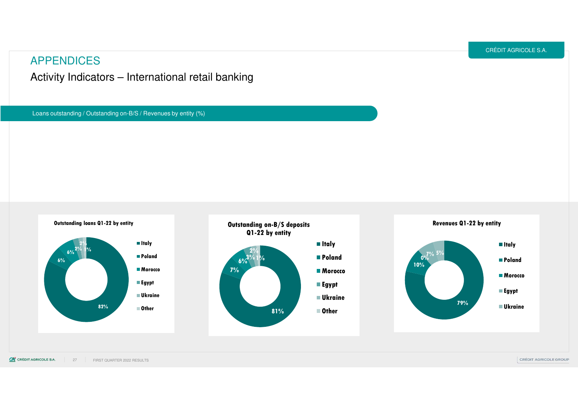Activity Indicators – International retail banking

Loans outstanding / Outstanding on-B/S / Revenues by entity (%)

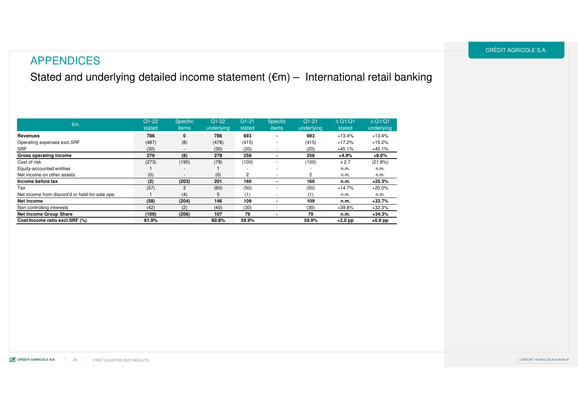Stated and underlying detailed income statement (€m) – International retail banking

| €m                                              | $Q1-22$<br>stated | <b>Specific</b><br>items | $Q1-22$<br>underlying | $Q1-21$<br>stated        | <b>Specific</b><br>items | $Q1-21$<br>underlying | $\triangle$ Q1/Q1<br>stated | $\triangle$ Q1/Q1<br>underlying |
|-------------------------------------------------|-------------------|--------------------------|-----------------------|--------------------------|--------------------------|-----------------------|-----------------------------|---------------------------------|
| Revenues                                        | 786               | 0                        | 786                   | 693                      |                          | 693                   | $+13.4%$                    | $+13.4%$                        |
| Operating expenses excl.SRF                     | (487)             | (8)                      | (478)                 | (415)                    |                          | (415)                 | $+17.2%$                    | $+15.2%$                        |
| <b>SRF</b>                                      | (30)              | $\overline{\phantom{a}}$ | (30)                  | (20)                     |                          | (20)                  | $+45.1%$                    | $+45.1%$                        |
| Gross operating income                          | 270               | (8)                      | 278                   | 258                      |                          | 258                   | $+4.9%$                     | $+8.0\%$                        |
| Cost of risk                                    | (273)             | (195)                    | (78)                  | (100)                    |                          | (100)                 | x 2.7                       | (21.8%)                         |
| Equity-accounted entities                       |                   | $\overline{\phantom{a}}$ |                       | $\overline{\phantom{a}}$ |                          |                       | n.m.                        | n.m.                            |
| Net income on other assets                      | (0)               | $\overline{\phantom{a}}$ | (0)                   | 2                        | $\sim$                   | 2                     | n.m.                        | n.m.                            |
| Income before tax                               | (2)               | (203)                    | 201                   | 160                      |                          | 160                   | n.m.                        | $+25.5%$                        |
| Tax                                             | (57)              | 3                        | (60)                  | (50)                     |                          | (50)                  | $+14.7%$                    | $+20.0%$                        |
| Net income from discont'd or held-for-sale ope. |                   | (4)                      | 5                     | (1)                      |                          | (1)                   | n.m.                        | n.m.                            |
| Net income                                      | (58)              | (204)                    | 146                   | 109                      | $\overline{\phantom{0}}$ | 109                   | n.m.                        | $+33.7%$                        |
| Non controlling interests                       | (42)              | (2)                      | (40)                  | (30)                     |                          | (30)                  | $+39.8%$                    | $+32.3%$                        |
| <b>Net income Group Share</b>                   | (100)             | (206)                    | 107                   | 79                       |                          | 79                    | n.m.                        | $+34.3%$                        |
| Cost/Income ratio excl.SRF (%)                  | 61.9%             |                          | 60.8%                 | 59.9%                    |                          | 59.9%                 | $+2.0$ pp                   | $+0.9$ pp                       |

#### CRÉDIT AGRICOLE S.A.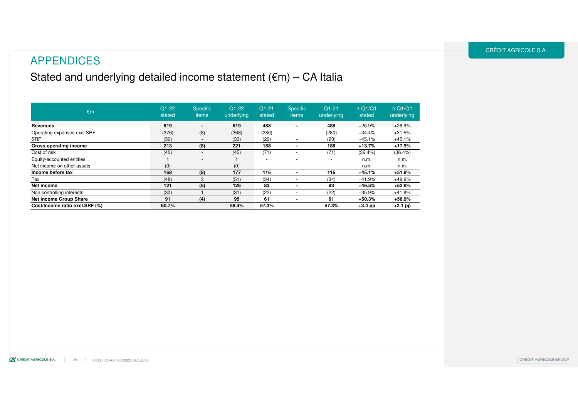### APPENDICES

### Stated and underlying detailed income statement (€m) – CA Italia

| $\epsilon$ m                   | $Q1-22$<br>stated | <b>Specific</b><br>items | $Q1-22$<br>underlying | $Q1 - 21$<br>stated      | <b>Specific</b><br>items | $Q1 - 21$<br>underlying | $\triangle$ Q1/Q1<br>stated | $\triangle$ Q1/Q1<br>underlying |
|--------------------------------|-------------------|--------------------------|-----------------------|--------------------------|--------------------------|-------------------------|-----------------------------|---------------------------------|
| Revenues                       | 619               | $\overline{\phantom{a}}$ | 619                   | 488                      |                          | 488                     | $+26.9%$                    | $+26.9%$                        |
| Operating expenses excl.SRF    | (376)             | (8)                      | (368)                 | (280)                    | ۰                        | (280)                   | $+34.4%$                    | $+31.5%$                        |
| <b>SRF</b>                     | (30)              | $\overline{\phantom{a}}$ | (30)                  | (20)                     |                          | (20)                    | $+45.1%$                    | $+45.1%$                        |
| Gross operating income         | 213               | (8)                      | 221                   | 188                      |                          | 188                     | $+13.7%$                    | $+17.9%$                        |
| Cost of risk                   | (45)              | $\overline{\phantom{a}}$ | (45)                  | (71)                     |                          | (71)                    | $(36.4\%)$                  | $(36.4\%)$                      |
| Equity-accounted entities      |                   | $\overline{\phantom{a}}$ |                       |                          |                          |                         | n.m.                        | n.m.                            |
| Net income on other assets     | (0)               | $\overline{\phantom{a}}$ | (0)                   | $\overline{\phantom{a}}$ | ۰                        |                         | n.m.                        | n.m.                            |
| Income before tax              | 169               | (8)                      | 177                   | 116                      |                          | 116                     | $+45.1%$                    | $+51.9%$                        |
| Tax                            | (48)              | 3                        | (51)                  | (34)                     |                          | (34)                    | $+41.9%$                    | +49.6%                          |
| Net income                     | 121               | (5)                      | 126                   | 83                       |                          | 83                      | $+46.5%$                    | $+52.9%$                        |
| Non controlling interests      | (30)              |                          | (31)                  | (22)                     |                          | (22)                    | $+35.9%$                    | $+41.8%$                        |
| Net income Group Share         | 91                | (4)                      | 95                    | 61                       |                          | 61                      | $+50.3%$                    | +56.9%                          |
| Cost/Income ratio excl.SRF (%) | 60.7%             |                          | 59.4%                 | 57.3%                    |                          | 57.3%                   | $+3.4$ pp                   | +2.1 pp                         |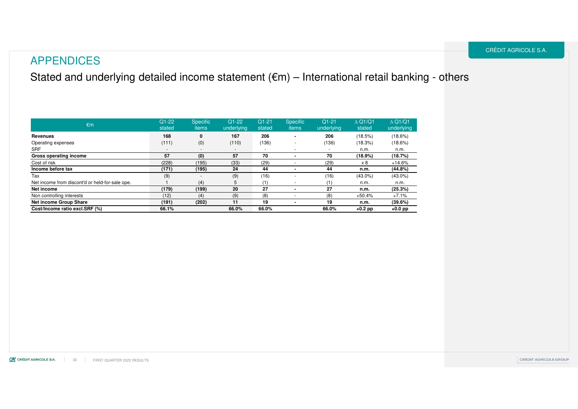### Stated and underlying detailed income statement (€m) – International retail banking - others

| €m                                              | $Q1-22$<br>stated        | <b>Specific</b><br>items | $Q1-22$<br>underlying | $Q1 - 21$<br>stated      | <b>Specific</b><br>items | $Q1-21$<br>underlying    | $\triangle$ Q1/Q1<br>stated | $\triangle$ Q1/Q1<br>underlying |
|-------------------------------------------------|--------------------------|--------------------------|-----------------------|--------------------------|--------------------------|--------------------------|-----------------------------|---------------------------------|
| Revenues                                        | 168                      | 0                        | 167                   | 206                      | ۰                        | 206                      | (18.5%)                     | $(18.6\%)$                      |
| Operating expenses                              | (111)                    | (0)                      | (110)                 | (136)                    | $\overline{\phantom{a}}$ | (136)                    | (18.3%)                     | $(18.6\%)$                      |
| SRF                                             | $\overline{\phantom{a}}$ | $\overline{\phantom{a}}$ |                       | $\overline{\phantom{a}}$ | $\overline{a}$           | $\overline{\phantom{a}}$ | n.m.                        | n.m.                            |
| Gross operating income                          | 57                       | (0)                      | 57                    | 70                       |                          | 70                       | (18.9%)                     | (18.7%)                         |
| Cost of risk                                    | (228)                    | (195)                    | (33)                  | (29)                     |                          | (29)                     | x 8                         | $+14.6%$                        |
| Income before tax                               | (171)                    | (195)                    | 24                    | 44                       |                          | 44                       | n.m.                        | (44.8%)                         |
| Tax                                             | (9)                      | $\overline{\phantom{a}}$ | (9)                   | (16)                     | ۰                        | (16)                     | $(43.0\%)$                  | $(43.0\%)$                      |
| Net income from discont'd or held-for-sale ope. |                          | (4)                      | 5                     | (1)                      |                          | (1)                      | n.m.                        | n.m.                            |
| Net income                                      | (179)                    | (199)                    | 20                    | 27                       |                          | 27                       | n.m.                        | (25.3%)                         |
| Non controlling interests                       | (12)                     | (4)                      | (9)                   | (8)                      |                          | (8)                      | $+50.4%$                    | $+7.1%$                         |
| <b>Net income Group Share</b>                   | (191)                    | (202)                    | 11                    | 19                       | -                        | 19                       | n.m.                        | (39.6%)                         |
| Cost/Income ratio excl.SRF (%)                  | 66.1%                    |                          | 66.0%                 | 66.0%                    |                          | 66.0%                    | $+0.2$ pp                   | $+0.0$ pp                       |

CRÉDIT AGRICOLE S.A.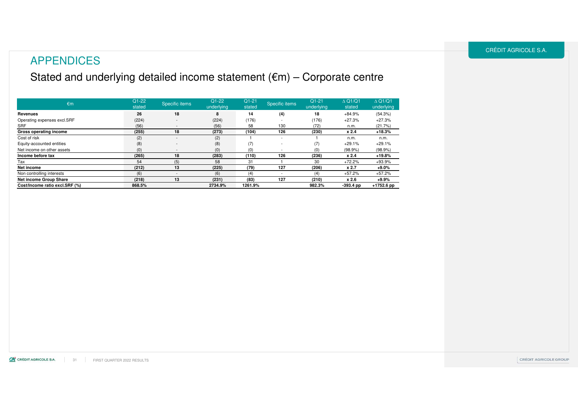### APPENDICES

### Stated and underlying detailed income statement (€m) – Corporate centre

| €m                             | $Q1-22$<br>stated | Specific items           | $Q1-22$<br>underlying | $Q1-21$<br>stated | Specific items | $Q1-21$<br>underlying | $\triangle$ Q1/Q1<br>stated | $\triangle$ Q1/Q1<br>underlying |
|--------------------------------|-------------------|--------------------------|-----------------------|-------------------|----------------|-----------------------|-----------------------------|---------------------------------|
| Revenues                       | 26                | 18                       | 8                     | 14                | (4)            | 18                    | $+84.9%$                    | (54.3%)                         |
| Operating expenses excl.SRF    | (224)             | $\overline{\phantom{0}}$ | (224)                 | (176)             |                | (176)                 | $+27.3%$                    | $+27.3%$                        |
| SRF                            | (56)              | $\overline{\phantom{a}}$ | (56)                  | 58                | 130            | (72)                  | n.m.                        | (21.7%)                         |
| Gross operating income         | (255)             | 18                       | (273)                 | (104)             | 126            | (230)                 | x 2.4                       | $+18.3%$                        |
| Cost of risk                   | (2)               | $\overline{\phantom{a}}$ | (2)                   |                   |                |                       | n.m.                        | n.m.                            |
| Equity-accounted entities      | (8)               | $\overline{\phantom{0}}$ | (8)                   | (7)               |                | (7)                   | $+29.1%$                    | $+29.1%$                        |
| Net income on other assets     | (0)               | $\overline{\phantom{a}}$ | (0)                   | (0)               |                | (0)                   | (98.9%)                     | $(98.9\%)$                      |
| Income before tax              | (265)             | 18                       | (283)                 | (110)             | 126            | (236)                 | x 2.4                       | $+19.8%$                        |
| Tax                            | 54                | (5)                      | 58                    | 31                |                | 30                    | $+72.2%$                    | $+93.9%$                        |
| Net income                     | (212)             | 13                       | (225)                 | (79)              | 127            | (206)                 | x2.7                        | $+9.0%$                         |
| Non controlling interests      | (6)               |                          | (6)                   | (4)               |                | (4)                   | $+57.2%$                    | $+57.2%$                        |
| <b>Net income Group Share</b>  | (218)             | 13                       | (231)                 | (83)              | 127            | (210)                 | x 2.6                       | $+9.9%$                         |
| Cost/Income ratio excl.SRF (%) | 868.5%            |                          | 2734.9%               | 1261.9%           |                | 982.3%                | $-393.4$ pp                 | $+1752.6$ pp                    |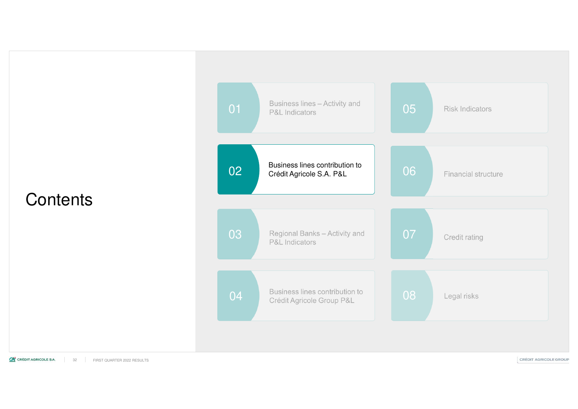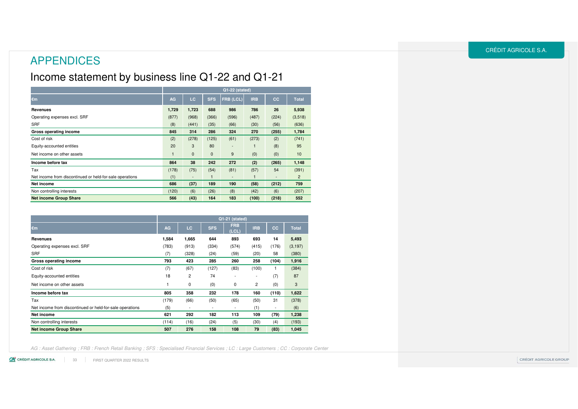### Income statement by business line Q1-22 and Q1-21

|                                                          | Q1-22 (stated) |                          |              |                  |                |       |                |  |  |  |  |
|----------------------------------------------------------|----------------|--------------------------|--------------|------------------|----------------|-------|----------------|--|--|--|--|
| €m                                                       | AG             | LC                       | <b>SFS</b>   | <b>FRB (LCL)</b> | <b>IRB</b>     | cc    | <b>Total</b>   |  |  |  |  |
| Revenues                                                 | 1,729          | 1,723                    | 688          | 986              | 786            | 26    | 5,938          |  |  |  |  |
| Operating expenses excl. SRF                             | (877)          | (968)                    | (366)        | (596)            | (487)          | (224) | (3,518)        |  |  |  |  |
| <b>SRF</b>                                               | (8)            | (441)                    | (35)         | (66)             | (30)           | (56)  | (636)          |  |  |  |  |
| Gross operating income                                   | 845            | 314                      | 286          | 324              | 270            | (255) | 1,784          |  |  |  |  |
| Cost of risk                                             | (2)            | (278)                    | (125)        | (61)             | (273)          | (2)   | (741)          |  |  |  |  |
| Equity-accounted entities                                | 20             | 3                        | 80           |                  |                | (8)   | 95             |  |  |  |  |
| Net income on other assets                               |                | $\mathbf{0}$             | $\pmb{0}$    | 9                | (0)            | (0)   | 10             |  |  |  |  |
| Income before tax                                        | 864            | 38                       | 242          | 272              | (2)            | (265) | 1,148          |  |  |  |  |
| Tax                                                      | (178)          | (75)                     | (54)         | (81)             | (57)           | 54    | (391)          |  |  |  |  |
| Net income from discontinued or held-for-sale operations | (1)            | $\overline{\phantom{a}}$ | $\mathbf{1}$ |                  | $\blacksquare$ | ٠     | $\overline{2}$ |  |  |  |  |
| Net income                                               | 686            | (37)                     | 189          | 190              | (58)           | (212) | 759            |  |  |  |  |
| Non controlling interests                                | (120)          | (6)                      | (26)         | (8)              | (42)           | (6)   | (207)          |  |  |  |  |
| <b>Net income Group Share</b>                            | 566            | (43)                     | 164          | 183              | (100)          | (218) | 552            |  |  |  |  |

|                                                          |           | Q1-21 (stated) |            |                          |                |                          |              |  |  |  |  |  |
|----------------------------------------------------------|-----------|----------------|------------|--------------------------|----------------|--------------------------|--------------|--|--|--|--|--|
| €m                                                       | <b>AG</b> | LC.            | <b>SFS</b> | <b>FRB</b><br>(CL)       | <b>IRB</b>     | cc                       | <b>Total</b> |  |  |  |  |  |
| Revenues                                                 | 1,584     | 1,665          | 644        | 893                      | 693            | 14                       | 5,493        |  |  |  |  |  |
| Operating expenses excl. SRF                             | (783)     | (913)          | (334)      | (574)                    | (415)          | (176)                    | (3, 197)     |  |  |  |  |  |
| <b>SRF</b>                                               | (7)       | (328)          | (24)       | (59)                     | (20)           | 58                       | (380)        |  |  |  |  |  |
| Gross operating income                                   | 793       | 423            | 285        | 260                      | 258            | (104)                    | 1,916        |  |  |  |  |  |
| Cost of risk                                             | (7)       | (67)           | (127)      | (83)                     | (100)          | 1                        | (384)        |  |  |  |  |  |
| Equity-accounted entities                                | 18        | 2              | 74         | $\overline{\phantom{0}}$ | -              | (7)                      | 87           |  |  |  |  |  |
| Net income on other assets                               |           | 0              | (0)        | 0                        | $\overline{2}$ | (0)                      | 3            |  |  |  |  |  |
| Income before tax                                        | 805       | 358            | 232        | 178                      | 160            | (110)                    | 1,622        |  |  |  |  |  |
| Tax                                                      | (179)     | (66)           | (50)       | (65)                     | (50)           | 31                       | (378)        |  |  |  |  |  |
| Net income from discontinued or held-for-sale operations | (5)       |                | ۰.         | ٠                        | (1)            | $\overline{\phantom{a}}$ | (6)          |  |  |  |  |  |
| Net income                                               | 621       | 292            | 182        | 113                      | 109            | (79)                     | 1,238        |  |  |  |  |  |
| Non controlling interests                                | (114)     | (16)           | (24)       | (5)                      | (30)           | (4)                      | (193)        |  |  |  |  |  |
| <b>Net income Group Share</b>                            | 507       | 276            | 158        | 108                      | 79             | (83)                     | 1,045        |  |  |  |  |  |

AG : Asset Gathering ; FRB : French Retail Banking ; SFS : Specialised Financial Services ; LC : Large Customers ; CC : Corporate Center

CA CRÉDIT AGRICOLE S.A. 33 FIRST QUARTER 2022 RESULTS CRÉDIT AGRICOLE S.A.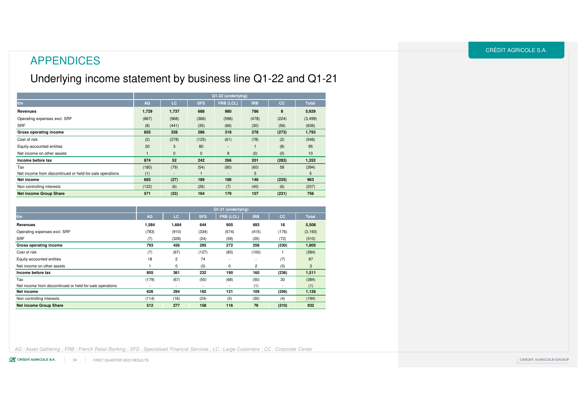### APPENDICES

### Underlying income statement by business line Q1-22 and Q1-21

|                                                          | Q1-22 (underlying) |                          |              |                          |            |                          |              |  |  |  |
|----------------------------------------------------------|--------------------|--------------------------|--------------|--------------------------|------------|--------------------------|--------------|--|--|--|
| €m                                                       | AG                 | LC                       | <b>SFS</b>   | FRB (LCL)                | <b>IRB</b> | cc                       | <b>Total</b> |  |  |  |
| Revenues                                                 | 1,729              | 1,737                    | 688          | 980                      | 786        | 8                        | 5,929        |  |  |  |
| Operating expenses excl. SRF                             | (867)              | (968)                    | (366)        | (596)                    | (478)      | (224)                    | (3, 499)     |  |  |  |
| <b>SRF</b>                                               | (8)                | (441)                    | (35)         | (66)                     | (30)       | (56)                     | (636)        |  |  |  |
| Gross operating income                                   | 855                | 328                      | 286          | 318                      | 278        | (273)                    | 1,793        |  |  |  |
| Cost of risk                                             | (2)                | (278)                    | (125)        | (61)                     | (78)       | (2)                      | (546)        |  |  |  |
| Equity-accounted entities                                | 20                 | 3                        | 80           | $\overline{\phantom{a}}$ |            | (8)                      | 95           |  |  |  |
| Net income on other assets                               |                    | $\mathbf 0$              | $\mathbf{0}$ | 9                        | (0)        | (0)                      | 10           |  |  |  |
| Income before tax                                        | 874                | 52                       | 242          | 266                      | 201        | (283)                    | 1,352        |  |  |  |
| Tax                                                      | (180)              | (79)                     | (54)         | (80)                     | (60)       | 58                       | (394)        |  |  |  |
| Net income from discontinued or held-for-sale operations | (1)                | $\overline{\phantom{a}}$ |              | $\overline{\phantom{a}}$ | 5          | $\overline{\phantom{a}}$ | 5            |  |  |  |
| Net income                                               | 693                | (27)                     | 189          | 186                      | 146        | (225)                    | 963          |  |  |  |
| Non controlling interests                                | (122)              | (6)                      | (26)         | (7)                      | (40)       | (6)                      | (207)        |  |  |  |
| <b>Net income Group Share</b>                            | 571                | (33)                     | 164          | 179                      | 107        | (231)                    | 756          |  |  |  |

|                                                          | Q1-21 (underlying)       |                          |                          |                          |            |                          |              |  |  |  |
|----------------------------------------------------------|--------------------------|--------------------------|--------------------------|--------------------------|------------|--------------------------|--------------|--|--|--|
| €m                                                       | AG                       | LC                       | <b>SFS</b>               | FRB (LCL)                | <b>IRB</b> | cc                       | <b>Total</b> |  |  |  |
| Revenues                                                 | 1,584                    | 1,664                    | 644                      | 905                      | 693        | 18                       | 5,508        |  |  |  |
| Operating expenses excl. SRF                             | (783)                    | (910)                    | (334)                    | (574)                    | (415)      | (176)                    | (3, 193)     |  |  |  |
| <b>SRF</b>                                               | (7)                      | (328)                    | (24)                     | (59)                     | (20)       | (72)                     | (510)        |  |  |  |
| Gross operating income                                   | 793                      | 426                      | 285                      | 272                      | 258        | (230)                    | 1,805        |  |  |  |
| Cost of risk                                             | (7)                      | (67)                     | (127)                    | (83)                     | (100)      |                          | (384)        |  |  |  |
| Equity-accounted entities                                | 18                       | $\overline{c}$           | 74                       | ٠                        | ٠          | (7)                      | 87           |  |  |  |
| Net income on other assets                               |                          | 0                        | (0)                      | 0                        | 2          | (0)                      | 3            |  |  |  |
| Income before tax                                        | 805                      | 361                      | 232                      | 190                      | 160        | (236)                    | 1,511        |  |  |  |
| Tax                                                      | (179)                    | (67)                     | (50)                     | (68)                     | (50)       | 30                       | (384)        |  |  |  |
| Net income from discontinued or held-for-sale operations | $\overline{\phantom{a}}$ | $\overline{\phantom{a}}$ | $\overline{\phantom{a}}$ | $\overline{\phantom{a}}$ | (1)        | $\overline{\phantom{a}}$ | (1)          |  |  |  |
| Net income                                               | 626                      | 294                      | 182                      | 121                      | 109        | (206)                    | 1,126        |  |  |  |
| Non controlling interests                                | (114)                    | (16)                     | (24)                     | (5)                      | (30)       | (4)                      | (194)        |  |  |  |
| <b>Net income Group Share</b>                            | 512                      | 277                      | 158                      | 116                      | 79         | (210)                    | 932          |  |  |  |

AG : Asset Gathering ; FRB : French Retail Banking ; SFS : Specialised Financial Services ; LC : Large Customers ; CC : Corporate Center

CO CRÉDIT AGRICOLE S.A. FIRST QUARTER 2022 RESULTS34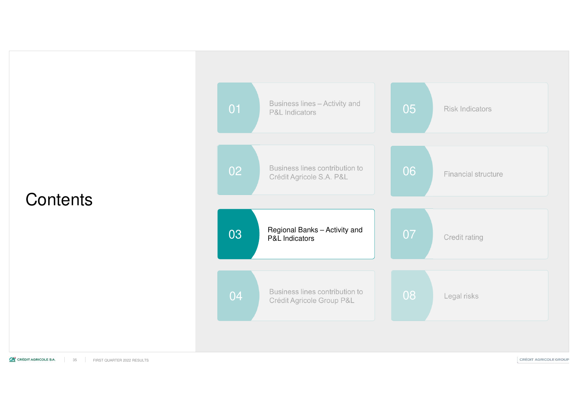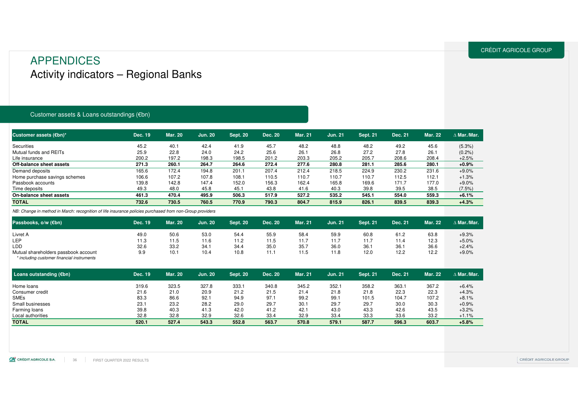### APPENDICESActivity indicators – Regional Banks

#### Customer assets & Loans outstandings (€bn)

| Dec. 19 | <b>Mar. 20</b> | <b>Jun. 20</b> | <b>Sept. 20</b> | Dec. 20 | <b>Mar. 21</b> | <b>Jun. 21</b> | <b>Sept. 21</b> | Dec. 21 | <b>Mar. 22</b> | $\Delta$ Mar./Mar. |
|---------|----------------|----------------|-----------------|---------|----------------|----------------|-----------------|---------|----------------|--------------------|
| 45.2    | 40.1           | 42.4           | 41.9            | 45.7    | 48.2           | 48.8           | 48.2            | 49.2    | 45.6           | $(5.3\%)$          |
| 25.9    | 22.8           | 24.0           | 24.2            | 25.6    | 26.1           | 26.8           | 27.2            | 27.8    | 26.1           | (0.2%              |
| 200.2   | 197.2          | 198.3          | 198.5           | 201.2   | 203.3          | 205.2          | 205.7           | 208.6   | 208.4          | $+2.5%$            |
| 271.3   | 260.1          | 264.7          | 264.6           | 272.4   | 277.6          | 280.8          | 281.1           | 285.6   | 280.1          | $+0.9%$            |
| 165.6   | 172.4          | 194.8          | 201.1           | 207.4   | 212.4          | 218.5          | 224.9           | 230.2   | 231.6          | $+9.0%$            |
| 106.6   | 107.2          | 107.8          | 108.1           | 110.5   | 110.7          | 110.7          | 110.7           | 112.5   | 112.1          | $+1.3%$            |
| 139.8   | 142.8          | 147.4          | 152.0           | 156.3   | 162.4          | 165.8          | 169.6           | 171.7   | 177.0          | $+9.0%$            |
| 49.3    | 48.0           | 45.8           | 45.1            | 43.8    | 41.6           | 40.3           | 39.8            | 39.5    | 38.5           | $(7.5\%)$          |
| 461.3   | 470.4          | 495.9          | 506.3           | 517.9   | 527.2          | 535.2          | 545.1           | 554.0   | 559.3          | $+6.1%$            |
| 732.6   | 730.5          | 760.5          | 770.9           | 790.3   | 804.7          | 815.9          | 826.1           | 839.5   | 839.3          | $+4.3%$            |
|         |                |                |                 |         |                |                |                 |         |                |                    |

NB: Change in method in March: recognition of life insurance policies purchased from non-Group providers

| Passbooks, o/w (€bn)                 | Dec. 19 | <b>Mar. 20</b> | <b>Jun. 20</b> | <b>Sept. 20</b> | Dec. 20 | Mar. 21 | Jun. 21 | <b>Sept. 21</b> | Dec. 21 | <b>Mar. 22</b> | ∆ Mar./Mar. |
|--------------------------------------|---------|----------------|----------------|-----------------|---------|---------|---------|-----------------|---------|----------------|-------------|
| Livret A                             | 49.0    | 50.6           | 53.0           | 54.4            | 55.9    | 58.4    | 59.9    | 60.8            | 61.2    | 63.8           | $+9.3%$     |
| <b>LEP</b>                           | 11.3    | 11.5           | ∣1.6           | 11.2            | 11.5    | 11.7    | 11.7    | 11.7            | 11.4    | 12.3           | $+5.0%$     |
| <b>LDD</b>                           | 32.6    | 33.2           | 34.            | 34.4            | 35.0    | 35.7    | 36.0    | 36.             | 36.1    | 36.6           | $+2.4%$     |
| Mutual shareholders passbook account | 9.9     | 10.1           | 10.4           | 10.8            | .<br>.  | 11.5    | 11.8    | 12.0            | 12.2    | 12.2           | $+9.0%$     |

\* including customer financial instruments

| Loans outstanding $(\epsilon$ bn) | Dec. 19 | <b>Mar. 20</b> | <b>Jun. 20</b> | <b>Sept. 20</b> | Dec. 20 | <b>Mar. 21</b> | <b>Jun. 21</b> | <b>Sept. 21</b> | Dec. 21 | Mar. 22 | $\Delta$ Mar./Mar. |
|-----------------------------------|---------|----------------|----------------|-----------------|---------|----------------|----------------|-----------------|---------|---------|--------------------|
| Home loans                        | 319.6   | 323.5          | 327.8          | 333.1           | 340.8   | 345.2          | 352.1          | 358.2           | 363.1   | 367.2   | $+6.4%$            |
| Consumer credit                   | 21.6    | 21.0           | 20.9           | 21.2            | 21.5    | 21.4           | 21.8           | 21.8            | 22.3    | 22.3    | $+4.3%$            |
| <b>SMEs</b>                       | 83.3    | 86.6           | 92.1           | 94.9            | 97.1    | 99.2           | 99.1           | 101.5           | 104.7   | 107.2   | $+8.1%$            |
| Small businesses                  | 23.1    | 23.2           | 28.2           | 29.0            | 29.7    | 30.1           | 29.7           | 29.7            | 30.0    | 30.3    | $+0.9%$            |
| Farming loans                     | 39.8    | 40.3           | 41.3           | 42.0            | 41.2    | 42.1           | 43.0           | 43.3            | 42.6    | 43.5    | $+3.2%$            |
| Local authorities                 | 32.8    | 32.8           | 32.9           | 32.6            | 33.4    | 32.9           | 33.4           | 33.3            | 33.6    | 33.2    | $+1.1%$            |
| <b>TOTAL</b>                      | 520.1   | 527.4          | 543.3          | 552.8           | 563.7   | 570.8          | 579.1          | 587.7           | 596.3   | 603.7   | $+5.8%$            |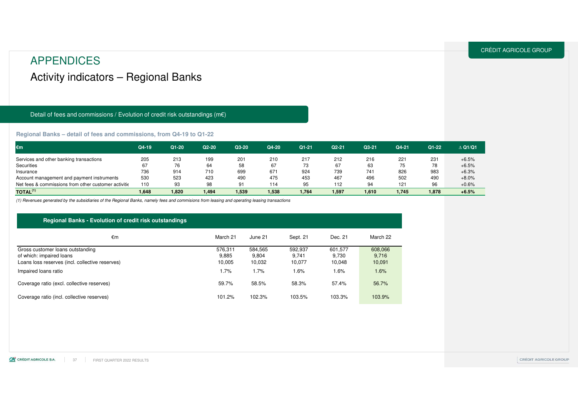### APPENDICESActivity indicators – Regional Banks

#### Detail of fees and commissions / Evolution of credit risk outstandings (m€)

#### **Regional Banks – detail of fees and commissions, from Q4-19 to Q1-22**

| €m                                                   | Q4-19 | Q1-20 | Q2-20 | Q3-20 | Q4-20 | $Q1 - 21$ | Q2-21 | Q3-21 | Q4-21 | Q1-22 | $\triangle$ Q1/Q1 |
|------------------------------------------------------|-------|-------|-------|-------|-------|-----------|-------|-------|-------|-------|-------------------|
| Services and other banking transactions              | 205   | 213   | 199   | 201   | 210   | 217       | 212   | 216   | 221   | 231   | $+6.5%$           |
| Securities                                           | 67    | 76    | 64    | 58    | 67    | 73        | 67    | 63    | 75    | 78    | $+6.5%$           |
| Insurance                                            | 736   | 914   | 710   | 699   | 671   | 924       | 739   | 741   | 826   | 983   | $+6.3%$           |
| Account management and payment instruments           | 530   | 523   | 423   | 490   | 475   | 453       | 467   | 496   | 502   | 490   | $+8.0%$           |
| Net fees & commissions from other customer activitie | 110   | 93    | 98    | 91    | 114   | 95        | 112   | 94    | 121   | 96    | $+0.6%$           |
| $\mathsf{TOTAL}^{(1)}$                               | 1,648 | 1,820 | 1,494 | 1,539 | 1,538 | 1.764     | 1,597 | 1,610 | 1,745 | 1,878 | $+6.5%$           |

(1) Revenues generated by the subsidiaries of the Regional Banks, namely fees and commisions from leasing and operating leasing transactions

#### **Regional Banks - Evolution of credit risk outstandings**

| €m                                                                                                              | March 21                   | June 21                    | Sept. 21                   | Dec. 21                    | March 22                   |
|-----------------------------------------------------------------------------------------------------------------|----------------------------|----------------------------|----------------------------|----------------------------|----------------------------|
| Gross customer loans outstanding<br>of which: impaired loans<br>Loans loss reserves (incl. collective reserves) | 576.311<br>9,885<br>10.005 | 584.565<br>9,804<br>10,032 | 592.937<br>9.741<br>10,077 | 601,577<br>9.730<br>10,048 | 608,066<br>9,716<br>10,091 |
| Impaired loans ratio                                                                                            | 1.7%                       | 1.7%                       | $1.6\%$                    | $1.6\%$                    | 1.6%                       |
| Coverage ratio (excl. collective reserves)                                                                      | 59.7%                      | 58.5%                      | 58.3%                      | 57.4%                      | 56.7%                      |
| Coverage ratio (incl. collective reserves)                                                                      | 101.2%                     | 102.3%                     | 103.5%                     | 103.3%                     | 103.9%                     |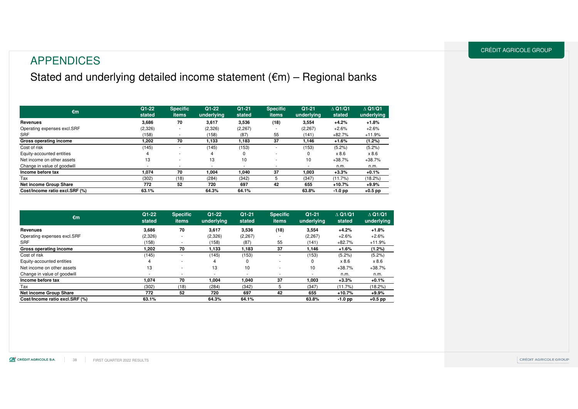### APPENDICES

### Stated and underlying detailed income statement (€m) – Regional banks

| $\epsilon$ m                   | $Q1-22$<br>stated | <b>Specific</b><br><b>items</b> | $Q1 - 22$<br>underlying | $Q1 - 21$<br>stated | <b>Specific</b><br><b>items</b> | $Q1-21$<br>underlying    | $\triangle$ Q1/Q1<br>stated | $\triangle$ Q1/Q1<br>underlying |
|--------------------------------|-------------------|---------------------------------|-------------------------|---------------------|---------------------------------|--------------------------|-----------------------------|---------------------------------|
| Revenues                       | 3.686             | 70                              | 3.617                   | 3,536               | (18)                            | 3,554                    | $+4.2%$                     | $+1.8%$                         |
| Operating expenses excl.SRF    | (2,326)           | ٠                               | (2,326)                 | (2, 267)            |                                 | (2, 267)                 | $+2.6%$                     | $+2.6%$                         |
| <b>SRF</b>                     | (158)             |                                 | (158)                   | (87)                | 55                              | (141)                    | $+82.7%$                    | $+11.9%$                        |
| Gross operating income         | 202, ا            | 70                              | 1,133                   | 1,183               | 37                              | 1,146                    | $+1.6%$                     | (1.2%)                          |
| Cost of risk                   | (145)             |                                 | (145)                   | (153)               |                                 | (153)                    | (5.2%)                      | (5.2%)                          |
| Equity-accounted entities      | 4                 | ۰                               | 4                       | 0                   |                                 | 0                        | x 8.6                       | x 8.6                           |
| Net income on other assets     | 13                | ۰                               | 13                      | 10                  |                                 | 10                       | $+38.7%$                    | $+38.7%$                        |
| Change in value of goodwill    |                   | $\overline{\phantom{a}}$        |                         | ۰.                  |                                 | $\overline{\phantom{a}}$ | n.m.                        | n.m.                            |
| Income before tax              | 1.074             | 70                              | 1.004                   | 040. ا              | 37                              | 1,003                    | $+3.3%$                     | $+0.1%$                         |
| Tax                            | (302)             | (18)                            | (284)                   | (342)               | 5                               | (347)                    | (11.7%)                     | (18.2%)                         |
| <b>Net income Group Share</b>  | 772               | 52                              | 720                     | 697                 | 42                              | 655                      | +10.7%                      | $+9.9%$                         |
| Cost/Income ratio excl.SRF (%) | 63.1%             |                                 | 64.3%                   | 64.1%               |                                 | 63.8%                    | $-1.0$ pp                   | +0.5 pp                         |

| €m                             | Q1-22<br>stated | <b>Specific</b><br>items | $Q1 - 22$<br>underlying | $Q1 - 21$<br>stated | <b>Specific</b><br><b>items</b> | $Q1 - 21$<br>underlying | $\triangle$ Q1/Q1<br>stated | $\triangle$ Q1/Q1<br>underlying |
|--------------------------------|-----------------|--------------------------|-------------------------|---------------------|---------------------------------|-------------------------|-----------------------------|---------------------------------|
| <b>Revenues</b>                | 3,686           | 70                       | 3.617                   | 3,536               | (18)                            | 3,554                   | $+4.2%$                     | $+1.8%$                         |
| Operating expenses excl.SRF    | (2,326)         | ٠                        | (2,326)                 | (2, 267)            |                                 | (2, 267)                | $+2.6%$                     | $+2.6%$                         |
| <b>SRF</b>                     | (158)           |                          | (158)                   | (87)                | 55                              | (141)                   | $+82.7%$                    | $+11.9%$                        |
| <b>Gross operating income</b>  | 1.202           | 70                       | 1.133                   | 1.183               | 37                              | 1.146                   | $+1.6%$                     | $(1.2\%)$                       |
| Cost of risk                   | (145)           |                          | (145)                   | (153)               |                                 | (153)                   | (5.2%)                      | (5.2%)                          |
| Equity-accounted entities      | 4               |                          | 4                       | 0                   | ۰                               | 0                       | x 8.6                       | x 8.6                           |
| Net income on other assets     | 13              | ٠                        | 13                      | 10                  | ۰                               | 10                      | $+38.7%$                    | $+38.7%$                        |
| Change in value of goodwill    | ۰.              | ۰                        | ۰.                      |                     | ۰                               | ۰                       | n.m.                        | n.m.                            |
| Income before tax              | 1,074           | 70                       | 1,004                   | 040, ا              | 37                              | 1,003                   | $+3.3%$                     | $+0.1%$                         |
| Tax                            | (302)           | (18)                     | (284)                   | (342)               |                                 | (347)                   | (11.7%)                     | (18.2%)                         |
| <b>Net income Group Share</b>  | 772             | 52                       | 720                     | 697                 | 42                              | 655                     | $+10.7%$                    | $+9.9%$                         |
| Cost/Income ratio excl.SRF (%) | 63.1%           |                          | 64.3%                   | 64.1%               |                                 | 63.8%                   | $-1.0$ pp                   | $+0.5$ pp                       |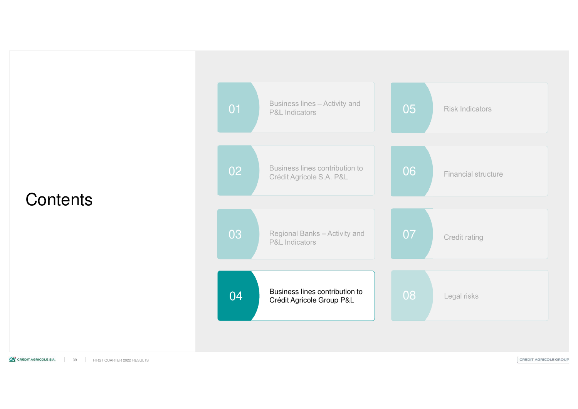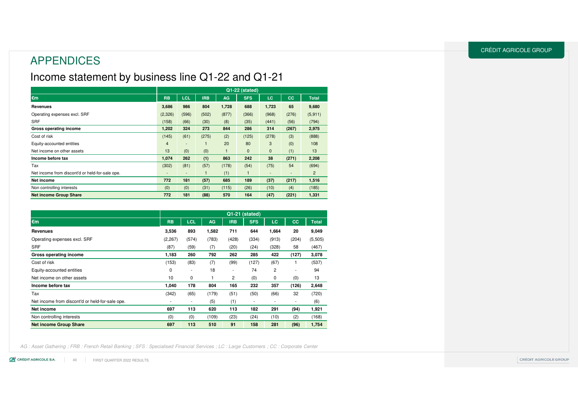### APPENDICES

### Income statement by business line Q1-22 and Q1-21

|                                                 | Q1-22 (stated)           |                          |            |       |              |              |           |                |
|-------------------------------------------------|--------------------------|--------------------------|------------|-------|--------------|--------------|-----------|----------------|
| €m                                              | <b>RB</b>                | <b>LCL</b>               | <b>IRB</b> | AG.   | <b>SFS</b>   | LC.          | <b>CC</b> | <b>Total</b>   |
| <b>Revenues</b>                                 | 3,686                    | 986                      | 804        | 1,728 | 688          | 1,723        | 65        | 9,680          |
| Operating expenses excl. SRF                    | (2,326)                  | (596)                    | (502)      | (877) | (366)        | (968)        | (276)     | (5, 911)       |
| <b>SRF</b>                                      | (158)                    | (66)                     | (30)       | (8)   | (35)         | (441)        | (56)      | (794)          |
| Gross operating income                          | 1,202                    | 324                      | 273        | 844   | 286          | 314          | (267)     | 2,975          |
| Cost of risk                                    | (145)                    | (61)                     | (275)      | (2)   | (125)        | (278)        | (3)       | (888)          |
| Equity-accounted entities                       | $\overline{4}$           | $\overline{\phantom{0}}$ |            | 20    | 80           | 3            | (0)       | 108            |
| Net income on other assets                      | 13                       | (0)                      | (0)        |       | $\mathbf 0$  | $\mathbf{0}$ | (1)       | 13             |
| Income before tax                               | 1.074                    | 262                      | (1)        | 863   | 242          | 38           | (271)     | 2,208          |
| Tax                                             | (302)                    | (81)                     | (57)       | (178) | (54)         | (75)         | 54        | (694)          |
| Net income from discont'd or held-for-sale ope. | $\overline{\phantom{a}}$ | ٠                        |            | (1)   | $\mathbf{1}$ | -            | ٠         | $\overline{2}$ |
| Net income                                      | 772                      | 181                      | (57)       | 685   | 189          | (37)         | (217)     | 1,516          |
| Non controlling interests                       | (0)                      | (0)                      | (31)       | (115) | (26)         | (10)         | (4)       | (185)          |
| <b>Net income Group Share</b>                   | 772                      | 181                      | (88)       | 570   | 164          | (47)         | (221)     | 1,331          |

|                                                 |             |                          |           |                | $Q1-21$ (stated) |           |       |              |
|-------------------------------------------------|-------------|--------------------------|-----------|----------------|------------------|-----------|-------|--------------|
| $\epsilon$ m                                    | <b>RB</b>   | <b>LCL</b>               | <b>AG</b> | <b>IRB</b>     | <b>SFS</b>       | <b>LC</b> | cc    | <b>Total</b> |
| Revenues                                        | 3,536       | 893                      | 1,582     | 711            | 644              | 1,664     | 20    | 9,049        |
| Operating expenses excl. SRF                    | (2, 267)    | (574)                    | (783)     | (428)          | (334)            | (913)     | (204) | (5,505)      |
| <b>SRF</b>                                      | (87)        | (59)                     | (7)       | (20)           | (24)             | (328)     | 58    | (467)        |
| Gross operating income                          | 1,183       | 260                      | 792       | 262            | 285              | 422       | (127) | 3,078        |
| Cost of risk                                    | (153)       | (83)                     | (7)       | (99)           | (127)            | (67)      | 1     | (537)        |
| Equity-accounted entities                       | $\mathbf 0$ | ٠                        | 18        | ٠              | 74               | 2         | ۰     | 94           |
| Net income on other assets                      | 10          | 0                        |           | $\overline{c}$ | (0)              | 0         | (0)   | 13           |
| Income before tax                               | 1,040       | 178                      | 804       | 165            | 232              | 357       | (126) | 2,648        |
| Tax                                             | (342)       | (65)                     | (179)     | (51)           | (50)             | (66)      | 32    | (720)        |
| Net income from discont'd or held-for-sale ope. |             | $\overline{\phantom{a}}$ | (5)       | (1)            | ۰                | ۰         | ٠     | (6)          |
| Net income                                      | 697         | 113                      | 620       | 113            | 182              | 291       | (94)  | 1,921        |
| Non controlling interests                       | (0)         | (0)                      | (109)     | (23)           | (24)             | (10)      | (2)   | (168)        |
| <b>Net income Group Share</b>                   | 697         | 113                      | 510       | 91             | 158              | 281       | (96)  | 1,754        |

AG : Asset Gathering ; FRB : French Retail Banking ; SFS : Specialised Financial Services ; LC : Large Customers ; CC : Corporate Center

CE CRÉDIT AGRICOLE S.A. **FIRST QUARTER 2022 RESULTS** 40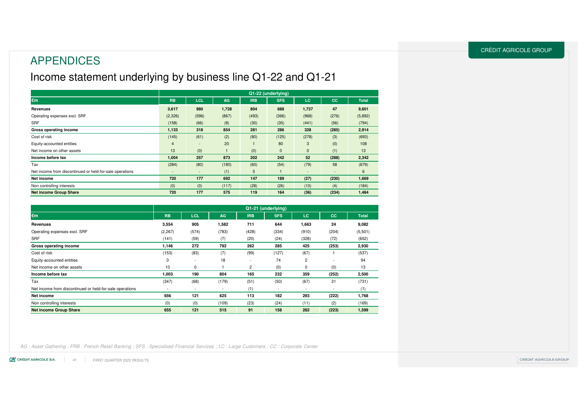### APPENDICES

### Income statement underlying by business line Q1-22 and Q1-21

|                                                          |                          |                          |           |            | Q1-22 (underlying) |                          |           |              |
|----------------------------------------------------------|--------------------------|--------------------------|-----------|------------|--------------------|--------------------------|-----------|--------------|
| €m                                                       | <b>RB</b>                | <b>LCL</b>               | <b>AG</b> | <b>IRB</b> | <b>SFS</b>         | <b>LC</b>                | <b>CC</b> | <b>Total</b> |
| Revenues                                                 | 3,617                    | 980                      | 1,728     | 804        | 688                | 1,737                    | 47        | 9,601        |
| Operating expenses excl. SRF                             | (2,326)                  | (596)                    | (867)     | (493)      | (366)              | (968)                    | (276)     | (5,892)      |
| SRF                                                      | (158)                    | (66)                     | (8)       | (30)       | (35)               | (441)                    | (56)      | (794)        |
| Gross operating income                                   | 1,133                    | 318                      | 854       | 281        | 286                | 328                      | (285)     | 2,914        |
| Cost of risk                                             | (145)                    | (61)                     | (2)       | (80)       | (125)              | (278)                    | (3)       | (693)        |
| Equity-accounted entities                                | $\overline{4}$           | $\overline{\phantom{a}}$ | 20        |            | 80                 | 3                        | (0)       | 108          |
| Net income on other assets                               | 13                       | (0)                      |           | (0)        | $\mathbf{0}$       | $\mathbf{0}$             | (1)       | 13           |
| Income before tax                                        | 1,004                    | 257                      | 873       | 202        | 242                | 52                       | (288)     | 2,342        |
| Tax                                                      | (284)                    | (80)                     | (180)     | (60)       | (54)               | (79)                     | 58        | (679)        |
| Net income from discontinued or held-for-sale operations | $\overline{\phantom{a}}$ | $\overline{\phantom{a}}$ | (1)       | 5          |                    | $\overline{\phantom{a}}$ | ٠         | 6            |
| Net income                                               | 720                      | 177                      | 692       | 147        | 189                | (27)                     | (230)     | 1,669        |
| Non controlling interests                                | (0)                      | (0)                      | (117)     | (28)       | (26)               | (10)                     | (4)       | (184)        |
| <b>Net income Group Share</b>                            | 720                      | 177                      | 575       | 119        | 164                | (36)                     | (234)     | 1,484        |

|                                                          |           |                          |                          |                          | Q1-21 (underlying)       |                |                          |              |
|----------------------------------------------------------|-----------|--------------------------|--------------------------|--------------------------|--------------------------|----------------|--------------------------|--------------|
| €m                                                       | <b>RB</b> | <b>LCL</b>               | <b>AG</b>                | <b>IRB</b>               | <b>SFS</b>               | LC.            | <b>CC</b>                | <b>Total</b> |
| Revenues                                                 | 3,554     | 905                      | 1,582                    | 711                      | 644                      | 1,663          | 24                       | 9,082        |
| Operating expenses excl. SRF                             | (2, 267)  | (574)                    | (783)                    | (428)                    | (334)                    | (910)          | (204)                    | (5,501)      |
| <b>SRF</b>                                               | (141)     | (59)                     | (7)                      | (20)                     | (24)                     | (328)          | (72)                     | (652)        |
| Gross operating income                                   | 1,146     | 272                      | 792                      | 262                      | 285                      | 425            | (253)                    | 2,930        |
| Cost of risk                                             | (153)     | (83)                     | (7)                      | (99)                     | (127)                    | (67)           |                          | (537)        |
| Equity-accounted entities                                | $\Omega$  | $\overline{\phantom{a}}$ | 18                       | $\overline{\phantom{a}}$ | 74                       | $\overline{2}$ |                          | 94           |
| Net income on other assets                               | 10        | 0                        |                          | $\overline{2}$           | (0)                      | 0              | (0)                      | 13           |
| Income before tax                                        | 1,003     | 190                      | 804                      | 165                      | 232                      | 359            | (252)                    | 2,500        |
| Tax                                                      | (347)     | (68)                     | (179)                    | (51)                     | (50)                     | (67)           | 31                       | (731)        |
| Net income from discontinued or held-for-sale operations |           | $\overline{\phantom{a}}$ | $\overline{\phantom{a}}$ | (1)                      | $\overline{\phantom{a}}$ | ٠              | $\overline{\phantom{a}}$ | (1)          |
| Net income                                               | 656       | 121                      | 625                      | 113                      | 182                      | 293            | (222)                    | 1,768        |
| Non controlling interests                                | (0)       | (0)                      | (109)                    | (23)                     | (24)                     | (11)           | (2)                      | (169)        |
| <b>Net income Group Share</b>                            | 655       | 121                      | 515                      | 91                       | 158                      | 282            | (223)                    | 1,599        |

AG : Asset Gathering ; FRB : French Retail Banking ; SFS : Specialised Financial Services ; LC : Large Customers ; CC : Corporate Center

CE CRÉDIT AGRICOLE S.A. 41**FIRST QUARTER 2022 RESULTS**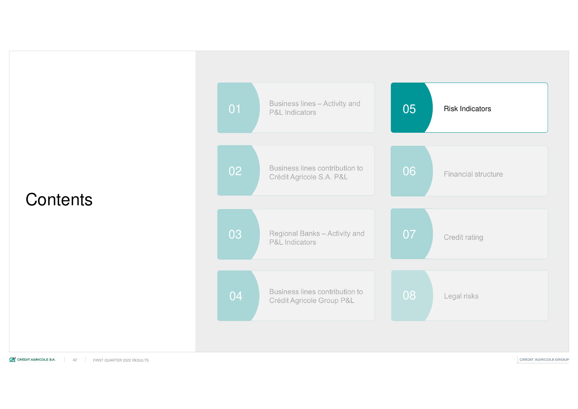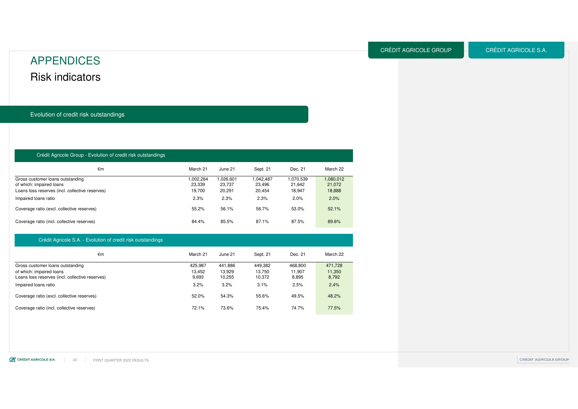### Risk indicators APPENDICES

Evolution of credit risk outstandings

#### Crédit Agricole Group - Evolution of credit risk outstandings

| €m                                                                                                              | March 21                     | June 21                       | Sept. 21                      | Dec. 21                       | March 22                      |
|-----------------------------------------------------------------------------------------------------------------|------------------------------|-------------------------------|-------------------------------|-------------------------------|-------------------------------|
| Gross customer loans outstanding<br>of which: impaired loans<br>Loans loss reserves (incl. collective reserves) | .002.264<br>23.339<br>19.700 | 1.026.601<br>23,737<br>20.291 | 1.042.487<br>23.496<br>20,454 | 1.070.539<br>21,642<br>18,947 | 1.080.012<br>21.072<br>18,888 |
| Impaired loans ratio                                                                                            | 2.3%                         | 2.3%                          | 2.3%                          | 2.0%                          | 2.0%                          |
| Coverage ratio (excl. collective reserves)                                                                      | 55.2%                        | 56.1%                         | 56.7%                         | 53.0%                         | 52.1%                         |
| Coverage ratio (incl. collective reserves)                                                                      | 84.4%                        | 85.5%                         | 87.1%                         | 87.5%                         | 89.6%                         |

#### Crédit Agricole S.A. - Evolution of credit risk outstandings

| €m                                              | March 21 | June 21 | Sept. 21 | Dec. 21 | March 22 |
|-------------------------------------------------|----------|---------|----------|---------|----------|
| Gross customer loans outstanding                | 425.987  | 441.886 | 449.382  | 468.800 | 471.728  |
| of which: impaired loans                        | 13.452   | 13.929  | 13.750   | 11.907  | 11,350   |
| Loans loss reserves (incl. collective reserves) | 9,693    | 10.255  | 10,372   | 8,895   | 8,792    |
| Impaired loans ratio                            | 3.2%     | 3.2%    | 3.1%     | 2.5%    | 2.4%     |
| Coverage ratio (excl. collective reserves)      | 52.0%    | 54.3%   | 55.6%    | 49.5%   | 48.2%    |
| Coverage ratio (incl. collective reserves)      | 72.1%    | 73.6%   | 75.4%    | 74.7%   | 77.5%    |

CRÉDIT AGRICOLE S.A.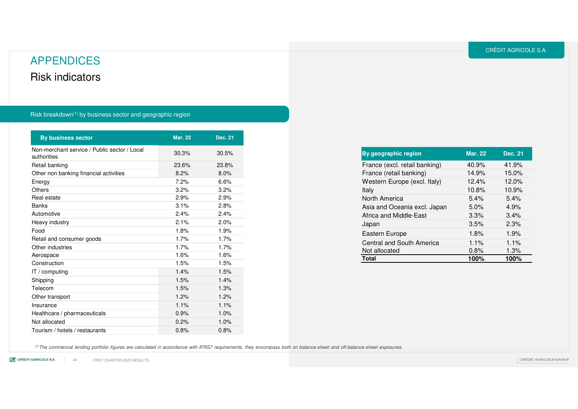### Risk indicators APPENDICES

#### Risk breakdown<sup>(1)</sup> by business sector and geographic region

| <b>By business sector</b>                                   | <b>Mar. 22</b> | <b>Dec. 21</b> |
|-------------------------------------------------------------|----------------|----------------|
| Non-merchant service / Public sector / Local<br>authorities | 30.3%          | 30.5%          |
| Retail banking                                              | 23.6%          | 23.8%          |
| Other non banking financial activities                      | 8.2%           | 8.0%           |
| Energy                                                      | 7.2%           | 6.6%           |
| Others                                                      | 3.2%           | 3.2%           |
| Real estate                                                 | 2.9%           | 2.9%           |
| <b>Banks</b>                                                | 3.1%           | 2.8%           |
| Automotive                                                  | 2.4%           | 2.4%           |
| Heavy industry                                              | 2.1%           | 2.0%           |
| Food                                                        | 1.8%           | 1.9%           |
| Retail and consumer goods                                   | 1.7%           | 1.7%           |
| Other industries                                            | 1.7%           | 1.7%           |
| Aerospace                                                   | 1.6%           | 1.6%           |
| Construction                                                | 1.5%           | 1.5%           |
| IT / computing                                              | 1.4%           | 1.5%           |
| Shipping                                                    | 1.5%           | 1.4%           |
| Telecom                                                     | 1.5%           | 1.3%           |
| Other transport                                             | 1.2%           | 1.2%           |
| Insurance                                                   | 1.1%           | 1.1%           |
| Healthcare / pharmaceuticals                                | 0.9%           | 1.0%           |
| Not allocated                                               | 0.2%           | 1.0%           |
| Tourism / hotels / restaurants                              | 0.8%           | 0.8%           |

| 40.9%   | 41.9% |
|---------|-------|
| 14.9%   | 15.0% |
| 12.4%   | 12.0% |
| 10.8%   | 10.9% |
| 5.4%    | 5.4%  |
| 5.0%    | 4.9%  |
| 3.3%    | 3.4%  |
| 3.5%    | 2.3%  |
| 1.8%    | 1.9%  |
| $1.1\%$ | 1.1%  |
| 0.8%    | 1.3%  |
| 100%    | 100%  |
|         |       |

(1) The commercial lending portfolio figures are calculated in accordance with IFRS7 requirements, they encompass both on balance-sheet and off-balance-sheet exposures.

CA CRÉDIT AGRICOLE S.A. FIRST QUARTER 2022 RESULTS 44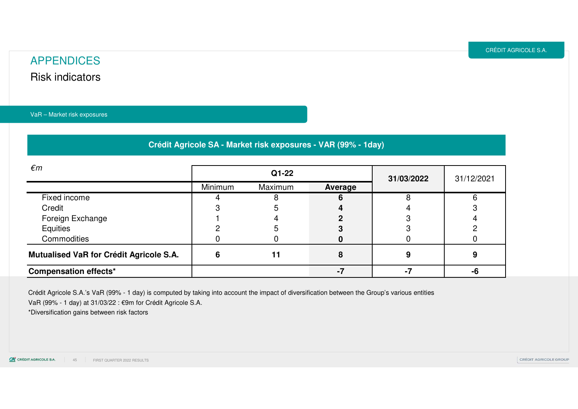### Risk indicators APPENDICES

VaR – Market risk exposures

**Crédit Agricole SA - Market risk exposures - VAR (99% - 1day)**

| $\epsilon$ m                            | $Q1-22$<br>31/03/2022 |         |         |  | 31/12/2021 |
|-----------------------------------------|-----------------------|---------|---------|--|------------|
|                                         | Minimum               | Maximum | Average |  |            |
| Fixed income                            |                       |         |         |  |            |
| Credit                                  |                       |         |         |  |            |
| Foreign Exchange                        |                       |         |         |  |            |
| Equities                                |                       |         |         |  |            |
| Commodities                             |                       |         |         |  |            |
| Mutualised VaR for Crédit Agricole S.A. |                       |         |         |  |            |
| <b>Compensation effects*</b>            |                       |         |         |  |            |

Crédit Agricole S.A.'s VaR (99% - 1 day) is computed by taking into account the impact of diversification between the Group's various entitiesVaR (99% - 1 day) at 31/03/22 : €9m for Crédit Agricole S.A.

\*Diversification gains between risk factors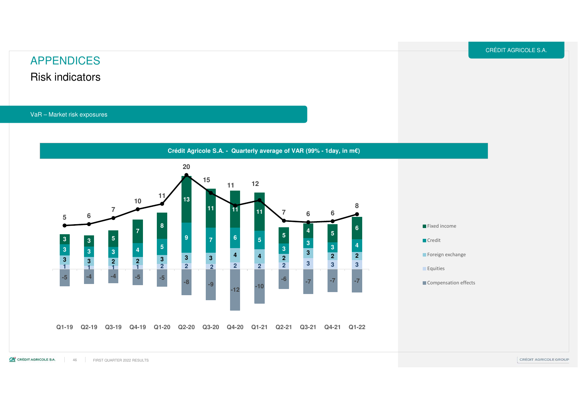### Risk indicators APPENDICES

VaR – Market risk exposures

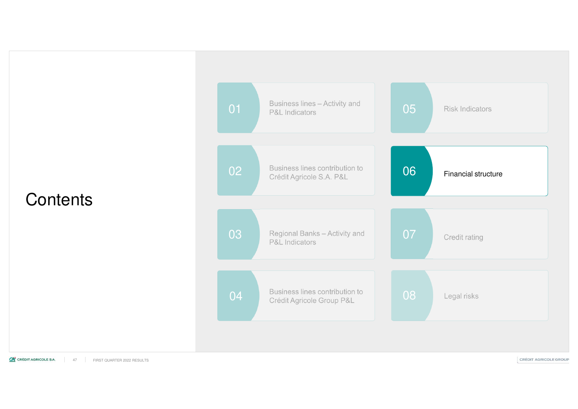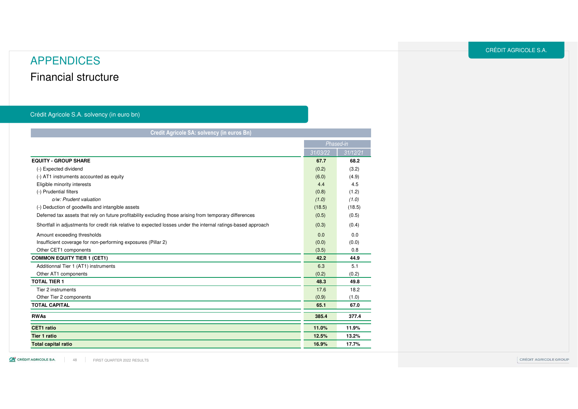### Financial structure APPENDICES

#### Crédit Agricole S.A. solvency (in euro bn)

| Credit Agricole SA: solvency (in euros Bn)                                                                     |          |           |  |  |  |
|----------------------------------------------------------------------------------------------------------------|----------|-----------|--|--|--|
|                                                                                                                |          | Phased-in |  |  |  |
|                                                                                                                | 31/03/22 | 31/12/21  |  |  |  |
| <b>EQUITY - GROUP SHARE</b>                                                                                    | 67.7     | 68.2      |  |  |  |
| (-) Expected dividend                                                                                          | (0.2)    | (3.2)     |  |  |  |
| (-) AT1 instruments accounted as equity                                                                        | (6.0)    | (4.9)     |  |  |  |
| Eligible minority interests                                                                                    | 4.4      | 4.5       |  |  |  |
| (-) Prudential filters                                                                                         | (0.8)    | (1.2)     |  |  |  |
| o/w: Prudent valuation                                                                                         | (1.0)    | (1.0)     |  |  |  |
| (-) Deduction of goodwills and intangible assets                                                               | (18.5)   | (18.5)    |  |  |  |
| Deferred tax assets that rely on future profitability excluding those arising from temporary differences       | (0.5)    | (0.5)     |  |  |  |
| Shortfall in adjustments for credit risk relative to expected losses under the internal ratings-based approach | (0.3)    | (0.4)     |  |  |  |
| Amount exceeding thresholds                                                                                    | 0.0      | 0.0       |  |  |  |
| Insufficient coverage for non-performing exposures (Pillar 2)                                                  | (0.0)    | (0.0)     |  |  |  |
| Other CET1 components                                                                                          | (3.5)    | 0.8       |  |  |  |
| <b>COMMON EQUITY TIER 1 (CET1)</b>                                                                             | 42.2     | 44.9      |  |  |  |
| Additionnal Tier 1 (AT1) instruments                                                                           | 6.3      | 5.1       |  |  |  |
| Other AT1 components                                                                                           | (0.2)    | (0.2)     |  |  |  |
| <b>TOTAL TIER 1</b>                                                                                            | 48.3     | 49.8      |  |  |  |
| Tier 2 instruments                                                                                             | 17.6     | 18.2      |  |  |  |
| Other Tier 2 components                                                                                        | (0.9)    | (1.0)     |  |  |  |
| <b>TOTAL CAPITAL</b>                                                                                           | 65.1     | 67.0      |  |  |  |
| <b>RWAs</b>                                                                                                    | 385.4    | 377.4     |  |  |  |
| CET1 ratio                                                                                                     | 11.0%    | 11.9%     |  |  |  |
| <b>Tier 1 ratio</b>                                                                                            | 12.5%    | 13.2%     |  |  |  |
| <b>Total capital ratio</b>                                                                                     | 16.9%    | 17.7%     |  |  |  |

CA CRÉDIT AGRICOLE S.A. 48 FIRST QUARTER 2022 RESULTS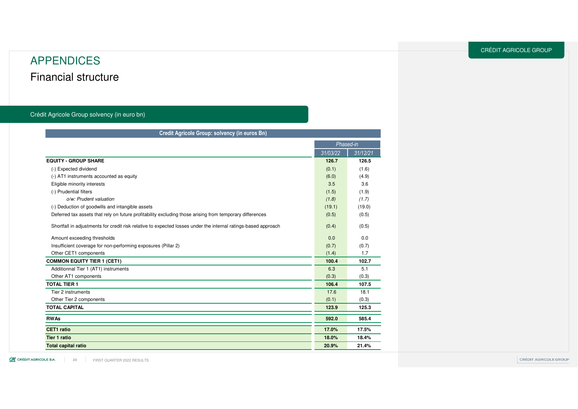### Financial structure APPENDICES

#### Crédit Agricole Group solvency (in euro bn)

| Credit Agricole Group: solvency (in euros Bn)                                                                  |          |           |  |  |  |
|----------------------------------------------------------------------------------------------------------------|----------|-----------|--|--|--|
|                                                                                                                |          | Phased-in |  |  |  |
|                                                                                                                | 31/03/22 | 31/12/21  |  |  |  |
| <b>EQUITY - GROUP SHARE</b>                                                                                    | 126.7    | 126.5     |  |  |  |
| (-) Expected dividend                                                                                          | (0.1)    | (1.6)     |  |  |  |
| (-) AT1 instruments accounted as equity                                                                        | (6.0)    | (4.9)     |  |  |  |
| Eligible minority interests                                                                                    | 3.5      | 3.6       |  |  |  |
| (-) Prudential filters                                                                                         | (1.5)    | (1.9)     |  |  |  |
| o/w: Prudent valuation                                                                                         | (1.8)    | (1.7)     |  |  |  |
| (-) Deduction of goodwills and intangible assets                                                               | (19.1)   | (19.0)    |  |  |  |
| Deferred tax assets that rely on future profitability excluding those arising from temporary differences       | (0.5)    | (0.5)     |  |  |  |
| Shortfall in adjustments for credit risk relative to expected losses under the internal ratings-based approach | (0.4)    | (0.5)     |  |  |  |
| Amount exceeding thresholds                                                                                    | 0.0      | 0.0       |  |  |  |
| Insufficient coverage for non-performing exposures (Pillar 2)                                                  | (0.7)    | (0.7)     |  |  |  |
| Other CET1 components                                                                                          | (1.4)    | 1.7       |  |  |  |
| <b>COMMON EQUITY TIER 1 (CET1)</b>                                                                             | 100.4    | 102.7     |  |  |  |
| Additionnal Tier 1 (AT1) instruments                                                                           | 6.3      | 5.1       |  |  |  |
| Other AT1 components                                                                                           | (0.3)    | (0.3)     |  |  |  |
| <b>TOTAL TIER 1</b>                                                                                            | 106.4    | 107.5     |  |  |  |
| Tier 2 instruments                                                                                             | 17.6     | 18.1      |  |  |  |
| Other Tier 2 components                                                                                        | (0.1)    | (0.3)     |  |  |  |
| <b>TOTAL CAPITAL</b>                                                                                           | 123.9    | 125.3     |  |  |  |
| <b>RWAs</b>                                                                                                    | 592.0    | 585.4     |  |  |  |
| CET1 ratio                                                                                                     | 17.0%    | 17.5%     |  |  |  |
| <b>Tier 1 ratio</b>                                                                                            | 18.0%    | 18.4%     |  |  |  |
| <b>Total capital ratio</b>                                                                                     | 20.9%    | 21.4%     |  |  |  |

CE CRÉDIT AGRICOLE S.A. a ka 49FIRST QUARTER 2022 RESULTS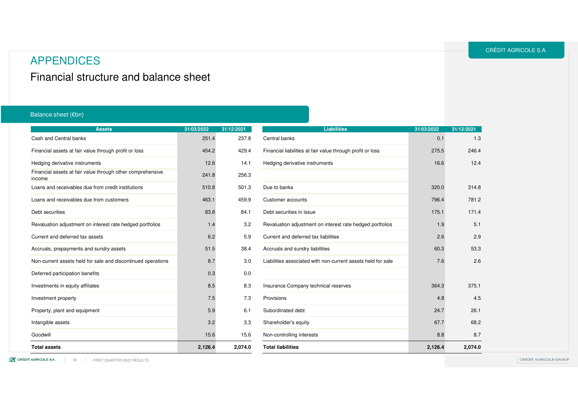### APPENDICES

Financial structure and balance sheet

#### Balance sheet (€bn)

| <b>Assets</b>                                                        | 31/03/2022 | 31/12/2021 | <b>Liabilities</b>                                           | 31/03/2022 | 31/12/2021 |
|----------------------------------------------------------------------|------------|------------|--------------------------------------------------------------|------------|------------|
| Cash and Central banks                                               | 251.4      | 237.8      | Central banks                                                | 0.1        | 1.3        |
| Financial assets at fair value through profit or loss                | 454.2      | 429.4      | Financial liabilities at fair value through profit or loss   | 275.5      | 246.4      |
| Hedging derivative instruments                                       | 12.6       | 14.1       | Hedging derivative instruments                               | 16.6       | 12.4       |
| Financial assets at fair value through other comprehensive<br>income | 241.8      | 256.3      |                                                              |            |            |
| Loans and receivables due from credit institutions                   | 510.8      | 501.3      | Due to banks                                                 | 320.0      | 314.8      |
| Loans and receivables due from customers                             | 463.1      | 459.9      | Customer accounts                                            | 796.4      | 781.2      |
| Debt securities                                                      | 83.8       | 84.1       | Debt securities in issue                                     | 175.1      | 171.4      |
| Revaluation adjustment on interest rate hedged portfolios            | 1.4        | 3.2        | Revaluation adjustment on interest rate hedged portfolios    | 1.9        | 5.1        |
| Current and deferred tax assets                                      | 6.2        | 5.9        | Current and deferred tax liabilities                         | 2.6        | 2.9        |
| Accruals, prepayments and sundry assets                              | 51.5       | 38.4       | Accruals and sundry liabilities                              | 60.3       | 53.3       |
| Non-current assets held for sale and discontinued operations         | 8.7        | 3.0        | Liabilities associated with non-current assets held for sale | 7.6        | 2.6        |
| Deferred participation benefits                                      | 0.3        | 0.0        |                                                              |            |            |
| Investments in equity affiliates                                     | 8.5        | 8.3        | Insurance Company technical reserves                         | 364.3      | 375.1      |
| Investment property                                                  | 7.5        | 7.3        | Provisions                                                   | 4.8        | 4.5        |
| Property, plant and equipment                                        | 5.9        | 6.1        | Subordinated debt                                            | 24.7       | 26.1       |
| Intangible assets                                                    | 3.2        | 3.3        | Shareholder's equity                                         | 67.7       | 68.2       |
| Goodwill                                                             | 15.6       | 15.6       | Non-controlling interests                                    | 8.8        | 8.7        |
| <b>Total assets</b>                                                  | 2,126.4    | 2,074.0    | <b>Total liabilities</b>                                     | 2,126.4    | 2,074.0    |

50 FIRST QUARTER 2022 RESULTS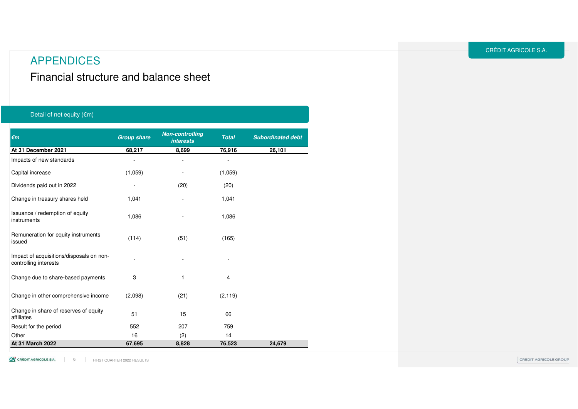Financial structure and balance sheet

#### Detail of net equity  $(\epsilon m)$

| $\epsilon$ m                                                      | <b>Group share</b>        | <b>Non-controlling</b><br><b>interests</b> | <b>Total</b> | <b>Subordinated debt</b> |
|-------------------------------------------------------------------|---------------------------|--------------------------------------------|--------------|--------------------------|
| At 31 December 2021                                               | 68,217                    | 8,699                                      | 76,916       | 26,101                   |
| Impacts of new standards                                          |                           |                                            |              |                          |
| Capital increase                                                  | (1,059)                   |                                            | (1,059)      |                          |
| Dividends paid out in 2022                                        |                           | (20)                                       | (20)         |                          |
| Change in treasury shares held                                    | 1,041                     | ÷,                                         | 1,041        |                          |
| Issuance / redemption of equity<br>instruments                    | 1,086                     |                                            | 1,086        |                          |
| Remuneration for equity instruments<br>issued                     | (114)                     | (51)                                       | (165)        |                          |
| Impact of acquisitions/disposals on non-<br>controlling interests |                           |                                            |              |                          |
| Change due to share-based payments                                | $\ensuremath{\mathsf{3}}$ | 1                                          | 4            |                          |
| Change in other comprehensive income                              | (2,098)                   | (21)                                       | (2, 119)     |                          |
| Change in share of reserves of equity<br>affiliates               | 51                        | 15                                         | 66           |                          |
| Result for the period                                             | 552                       | 207                                        | 759          |                          |
| Other                                                             | 16                        | (2)                                        | 14           |                          |
| At 31 March 2022                                                  | 67,695                    | 8,828                                      | 76,523       | 24,679                   |

51 FIRST QUARTER 2022 RESULTS

CRÉDIT AGRICOLE S.A.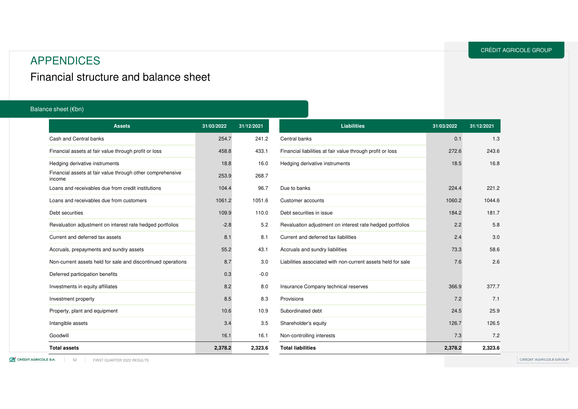### APPENDICES

Financial structure and balance sheet

#### Balance sheet (€bn)

| <b>Assets</b>                                                        | 31/03/2022 | 31/12/2021 | <b>Liabilities</b>                                           | 31/03/2022 | 31/12/2021 |
|----------------------------------------------------------------------|------------|------------|--------------------------------------------------------------|------------|------------|
| Cash and Central banks                                               | 254.7      | 241.2      | Central banks                                                | 0.1        | 1.3        |
| Financial assets at fair value through profit or loss                | 458.8      | 433.1      | Financial liabilities at fair value through profit or loss   | 272.6      | 243.6      |
| Hedging derivative instruments                                       | 18.8       | 16.0       | Hedging derivative instruments                               | 18.5       | 16.8       |
| Financial assets at fair value through other comprehensive<br>income | 253.9      | 268.7      |                                                              |            |            |
| Loans and receivables due from credit institutions                   | 104.4      | 96.7       | Due to banks                                                 | 224.4      | 221.2      |
| Loans and receivables due from customers                             | 1061.2     | 1051.6     | Customer accounts                                            | 1060.2     | 1044.6     |
| Debt securities                                                      | 109.9      | 110.0      | Debt securities in issue                                     | 184.2      | 181.7      |
| Revaluation adjustment on interest rate hedged portfolios            | $-2.8$     | 5.2        | Revaluation adjustment on interest rate hedged portfolios    | 2.2        | 5.8        |
| Current and deferred tax assets                                      | 8.1        | 8.1        | Current and deferred tax liabilities                         | 2.4        | 3.0        |
| Accruals, prepayments and sundry assets                              | 55.2       | 43.1       | Accruals and sundry liabilities                              | 73.3       | 58.6       |
| Non-current assets held for sale and discontinued operations         | 8.7        | 3.0        | Liabilities associated with non-current assets held for sale | 7.6        | 2.6        |
| Deferred participation benefits                                      | 0.3        | $-0.0$     |                                                              |            |            |
| Investments in equity affiliates                                     | 8.2        | 8.0        | Insurance Company technical reserves                         | 366.9      | 377.7      |
| Investment property                                                  | 8.5        | 8.3        | Provisions                                                   | 7.2        | 7.1        |
| Property, plant and equipment                                        | 10.6       | 10.9       | Subordinated debt                                            | 24.5       | 25.9       |
| Intangible assets                                                    | 3.4        | 3.5        | Shareholder's equity                                         | 126.7      | 126.5      |
| Goodwill                                                             | 16.1       | 16.1       | Non-controlling interests                                    | 7.3        | 7.2        |
| <b>Total assets</b>                                                  | 2,378.2    | 2,323.6    | <b>Total liabilities</b>                                     | 2,378.2    | 2,323.6    |

52 FIRST QUARTER 2022 RESULTS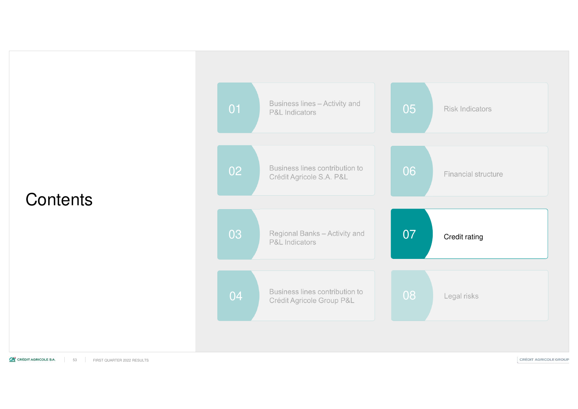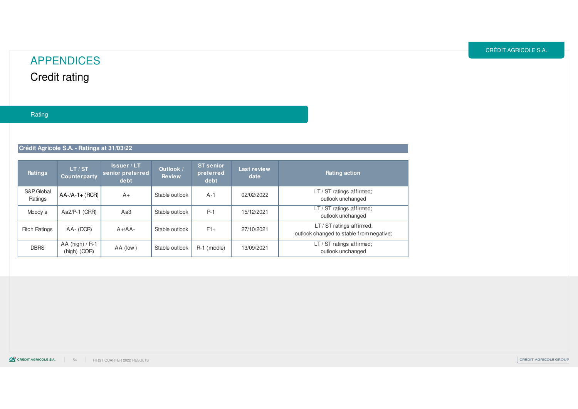## APPENDICESCredit rating

#### Rating

**Crédit Agricole S.A. - Ratings at 31/03/22** 

| Ratings               | LT / ST<br><b>Counterparty</b>  | ls <sub>sup</sub> /LT<br>senior preferred<br>debt | Outlook /<br><b>Review</b> | <b>ST senior</b><br>preferred<br>debt | Last review<br>date | Rating action                                                         |
|-----------------------|---------------------------------|---------------------------------------------------|----------------------------|---------------------------------------|---------------------|-----------------------------------------------------------------------|
| S&P Global<br>Ratings | $AA$ -/A-1+ (RCR)               | $A+$                                              | Stable outlook             | $A-1$                                 | 02/02/2022          | LT / ST ratings affirmed;<br>outlook unchanged                        |
| Moody's               | $Aa2/P-1$ (CRR)                 | Aa3                                               | Stable outlook             | $P-1$                                 | 15/12/2021          | LT / ST ratings affirmed;<br>outlook unchanged                        |
| <b>Fitch Ratings</b>  | $AA - (DCR)$                    | $A+}/AA-$                                         | Stable outlook             | $F1+$                                 | 27/10/2021          | LT / ST ratings affirmed;<br>outlook changed to stable from negative; |
| <b>DBRS</b>           | AA (high) / R-1<br>(high) (COR) | $AA$ (low)                                        | Stable outlook             | R-1 (middle)                          | 13/09/2021          | LT / ST ratings affirmed;<br>outlook unchanged                        |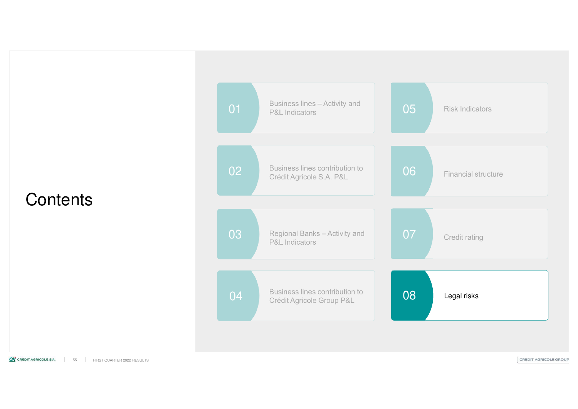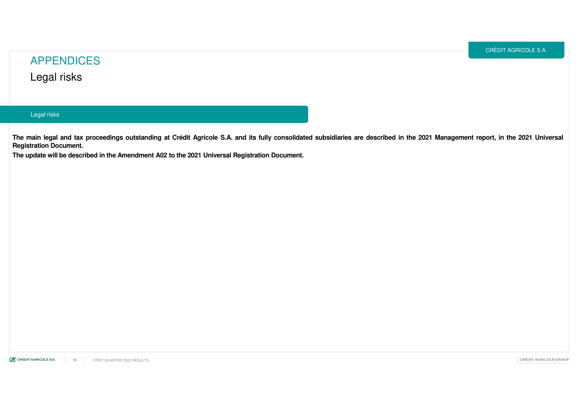### APPENDICESLegal risks

#### Legal risks

The main legal and tax proceedings outstanding at Crédit Agricole S.A. and its fully consolidated subsidiaries are described in the 2021 Management report, in the 2021 Universal **Registration Document.**

The update will be described in the Amendment A02 to the 2021 Universal Registration Document.